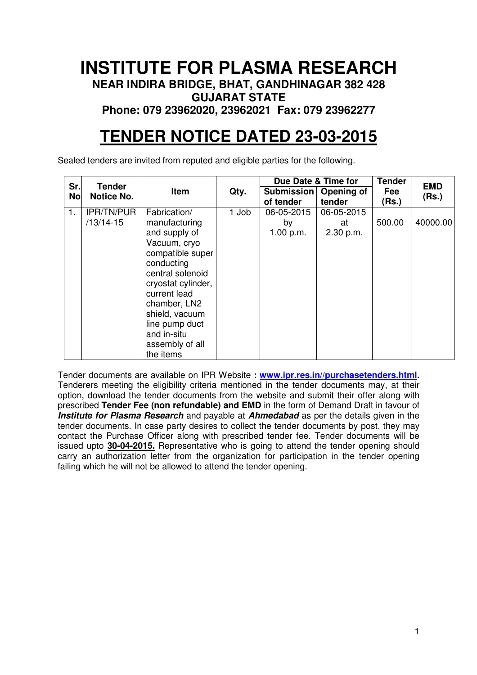## **INSTITUTE FOR PLASMA RESEARCH NEAR INDIRA BRIDGE, BHAT, GANDHINAGAR 382 428 GUJARAT STATE Phone: 079 23962020, 23962021 Fax: 079 23962277**

# **TENDER NOTICE DATED 23-03-2015**

Sealed tenders are invited from reputed and eligible parties for the following.

| Sr.       | <b>Tender</b>             |                                                                                                                                                                                                                                                               |       |                                      | Due Date & Time for           |              | <b>Tender</b> | <b>EMD</b> |
|-----------|---------------------------|---------------------------------------------------------------------------------------------------------------------------------------------------------------------------------------------------------------------------------------------------------------|-------|--------------------------------------|-------------------------------|--------------|---------------|------------|
| <b>No</b> | <b>Notice No.</b>         | Item                                                                                                                                                                                                                                                          | Qty.  | Submission   Opening of<br>of tender | tender                        | Fee<br>(Rs.) | (Rs.)         |            |
| 1.        | IPR/TN/PUR<br>$/13/14-15$ | Fabrication/<br>manufacturing<br>and supply of<br>Vacuum, cryo<br>compatible super<br>conducting<br>central solenoid<br>cryostat cylinder,<br>current lead<br>chamber, LN2<br>shield, vacuum<br>line pump duct<br>and in-situ<br>assembly of all<br>the items | 1 Job | 06-05-2015<br>by<br>1.00 p.m.        | 06-05-2015<br>at<br>2.30 p.m. | 500.00       | 40000.00      |            |

Tender documents are available on IPR Website **: www.ipr.res.in//purchasetenders.html.**  Tenderers meeting the eligibility criteria mentioned in the tender documents may, at their option, download the tender documents from the website and submit their offer along with prescribed **Tender Fee (non refundable) and EMD** in the form of Demand Draft in favour of **Institute for Plasma Research** and payable at **Ahmedabad** as per the details given in the tender documents. In case party desires to collect the tender documents by post, they may contact the Purchase Officer along with prescribed tender fee. Tender documents will be issued upto **30-04-2015.** Representative who is going to attend the tender opening should carry an authorization letter from the organization for participation in the tender opening failing which he will not be allowed to attend the tender opening.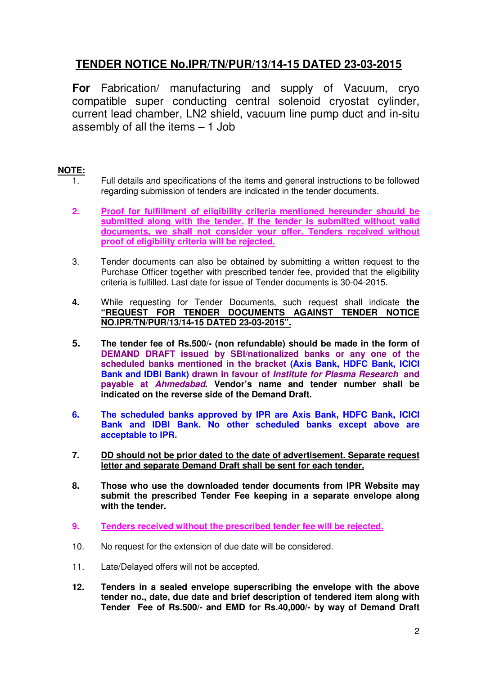## **TENDER NOTICE No.IPR/TN/PUR/13/14-15 DATED 23-03-2015**

**For** Fabrication/ manufacturing and supply of Vacuum, cryo compatible super conducting central solenoid cryostat cylinder, current lead chamber, LN2 shield, vacuum line pump duct and in-situ assembly of all the items – 1 Job

### **NOTE:**

- 1. Full details and specifications of the items and general instructions to be followed regarding submission of tenders are indicated in the tender documents.
- **2. Proof for fulfillment of eligibility criteria mentioned hereunder should be submitted along with the tender. If the tender is submitted without valid documents, we shall not consider your offer. Tenders received without proof of eligibility criteria will be rejected.**
- 3. Tender documents can also be obtained by submitting a written request to the Purchase Officer together with prescribed tender fee, provided that the eligibility criteria is fulfilled. Last date for issue of Tender documents is 30-04-2015.
- **4.** While requesting for Tender Documents, such request shall indicate **the "REQUEST FOR TENDER DOCUMENTS AGAINST TENDER NOTICE NO.IPR/TN/PUR/13/14-15 DATED 23-03-2015".**
- **5. The tender fee of Rs.500/- (non refundable) should be made in the form of DEMAND DRAFT issued by SBI/nationalized banks or any one of the scheduled banks mentioned in the bracket (Axis Bank, HDFC Bank, ICICI Bank and IDBI Bank) drawn in favour of Institute for Plasma Research and payable at Ahmedabad. Vendor's name and tender number shall be indicated on the reverse side of the Demand Draft.**
- **6. The scheduled banks approved by IPR are Axis Bank, HDFC Bank, ICICI Bank and IDBI Bank. No other scheduled banks except above are acceptable to IPR.**
- **7. DD should not be prior dated to the date of advertisement. Separate request letter and separate Demand Draft shall be sent for each tender.**
- **8. Those who use the downloaded tender documents from IPR Website may submit the prescribed Tender Fee keeping in a separate envelope along with the tender.**
- **9. Tenders received without the prescribed tender fee will be rejected.**
- 10. No request for the extension of due date will be considered.
- 11. Late/Delayed offers will not be accepted.
- **12. Tenders in a sealed envelope superscribing the envelope with the above tender no., date, due date and brief description of tendered item along with Tender Fee of Rs.500/- and EMD for Rs.40,000/- by way of Demand Draft**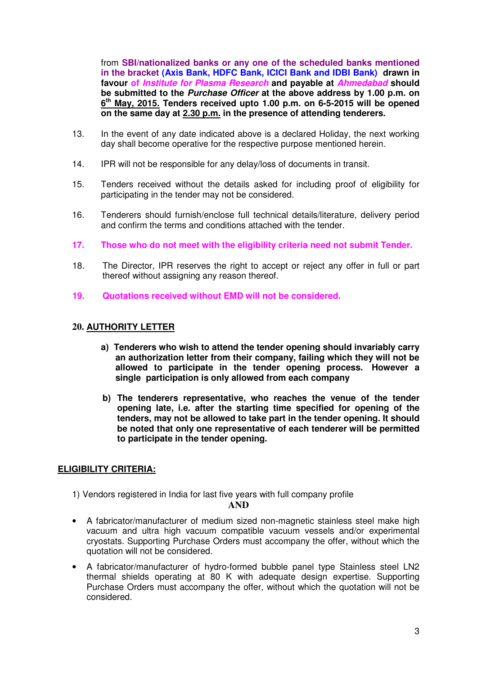from **SBI/nationalized banks or any one of the scheduled banks mentioned in the bracket (Axis Bank, HDFC Bank, ICICI Bank and IDBI Bank) drawn in favour of Institute for Plasma Research and payable at Ahmedabad should be submitted to the Purchase Officer at the above address by 1.00 p.m. on 6 th May, 2015. Tenders received upto 1.00 p.m. on 6-5-2015 will be opened on the same day at 2.30 p.m. in the presence of attending tenderers.** 

- 13. In the event of any date indicated above is a declared Holiday, the next working day shall become operative for the respective purpose mentioned herein.
- 14. IPR will not be responsible for any delay/loss of documents in transit.
- 15. Tenders received without the details asked for including proof of eligibility for participating in the tender may not be considered.
- 16. Tenderers should furnish/enclose full technical details/literature, delivery period and confirm the terms and conditions attached with the tender.
- **17. Those who do not meet with the eligibility criteria need not submit Tender.**
- 18. The Director, IPR reserves the right to accept or reject any offer in full or part thereof without assigning any reason thereof.
- **19. Quotations received without EMD will not be considered.**

#### **20. AUTHORITY LETTER**

- **a) Tenderers who wish to attend the tender opening should invariably carry an authorization letter from their company, failing which they will not be allowed to participate in the tender opening process. However a single participation is only allowed from each company**
- **b) The tenderers representative, who reaches the venue of the tender opening late, i.e. after the starting time specified for opening of the tenders, may not be allowed to take part in the tender opening. It should be noted that only one representative of each tenderer will be permitted to participate in the tender opening.**

#### **ELIGIBILITY CRITERIA:**

1) Vendors registered in India for last five years with full company profile

#### **AND**

- A fabricator/manufacturer of medium sized non-magnetic stainless steel make high vacuum and ultra high vacuum compatible vacuum vessels and/or experimental cryostats. Supporting Purchase Orders must accompany the offer, without which the quotation will not be considered.
- A fabricator/manufacturer of hydro-formed bubble panel type Stainless steel LN2 thermal shields operating at 80 K with adequate design expertise. Supporting Purchase Orders must accompany the offer, without which the quotation will not be considered.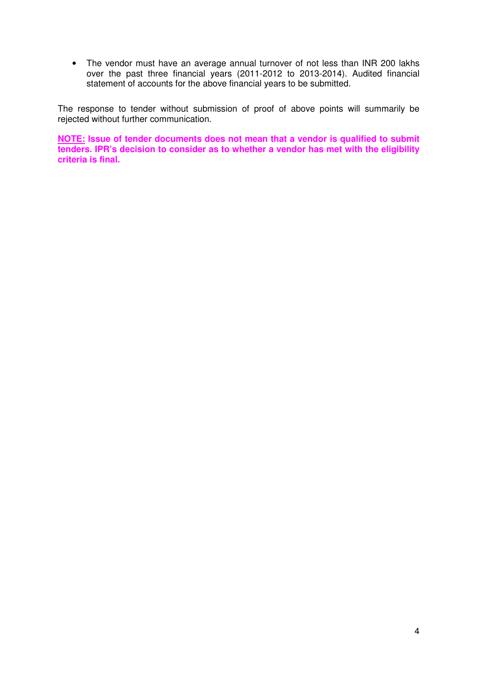• The vendor must have an average annual turnover of not less than INR 200 lakhs over the past three financial years (2011-2012 to 2013-2014). Audited financial statement of accounts for the above financial years to be submitted.

The response to tender without submission of proof of above points will summarily be rejected without further communication.

**NOTE: Issue of tender documents does not mean that a vendor is qualified to submit tenders. IPR's decision to consider as to whether a vendor has met with the eligibility criteria is final.**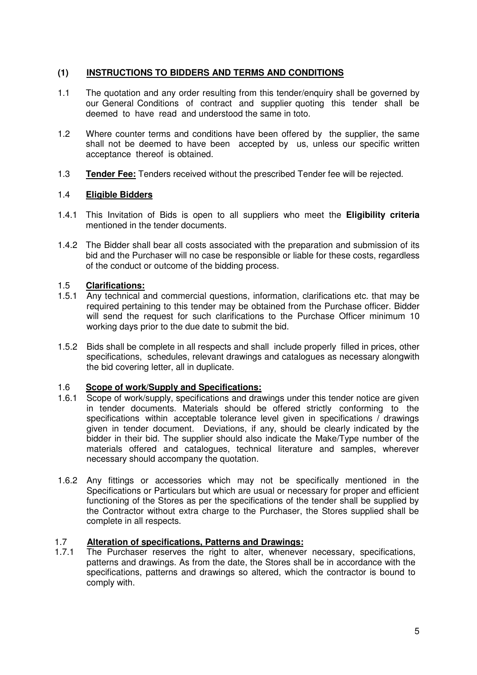#### **(1) INSTRUCTIONS TO BIDDERS AND TERMS AND CONDITIONS**

- 1.1 The quotation and any order resulting from this tender/enquiry shall be governed by our General Conditions of contract and supplier quoting this tender shall be deemed to have read and understood the same in toto.
- 1.2 Where counter terms and conditions have been offered by the supplier, the same shall not be deemed to have been accepted by us, unless our specific written acceptance thereof is obtained.
- 1.3 **Tender Fee:** Tenders received without the prescribed Tender fee will be rejected.

#### 1.4 **Eligible Bidders**

- 1.4.1 This Invitation of Bids is open to all suppliers who meet the **Eligibility criteria** mentioned in the tender documents.
- 1.4.2 The Bidder shall bear all costs associated with the preparation and submission of its bid and the Purchaser will no case be responsible or liable for these costs, regardless of the conduct or outcome of the bidding process.

#### 1.5 **Clarifications:**

- 1.5.1 Any technical and commercial questions, information, clarifications etc. that may be required pertaining to this tender may be obtained from the Purchase officer. Bidder will send the request for such clarifications to the Purchase Officer minimum 10 working days prior to the due date to submit the bid.
- 1.5.2 Bids shall be complete in all respects and shall include properly filled in prices, other specifications, schedules, relevant drawings and catalogues as necessary alongwith the bid covering letter, all in duplicate.

#### 1.6 **Scope of work/Supply and Specifications:**

- 1.6.1 Scope of work/supply, specifications and drawings under this tender notice are given in tender documents. Materials should be offered strictly conforming to the specifications within acceptable tolerance level given in specifications / drawings given in tender document. Deviations, if any, should be clearly indicated by the bidder in their bid. The supplier should also indicate the Make/Type number of the materials offered and catalogues, technical literature and samples, wherever necessary should accompany the quotation.
- 1.6.2 Any fittings or accessories which may not be specifically mentioned in the Specifications or Particulars but which are usual or necessary for proper and efficient functioning of the Stores as per the specifications of the tender shall be supplied by the Contractor without extra charge to the Purchaser, the Stores supplied shall be complete in all respects.

# 1.7 **Alteration of specifications, Patterns and Drawings:**

The Purchaser reserves the right to alter, whenever necessary, specifications, patterns and drawings. As from the date, the Stores shall be in accordance with the specifications, patterns and drawings so altered, which the contractor is bound to comply with.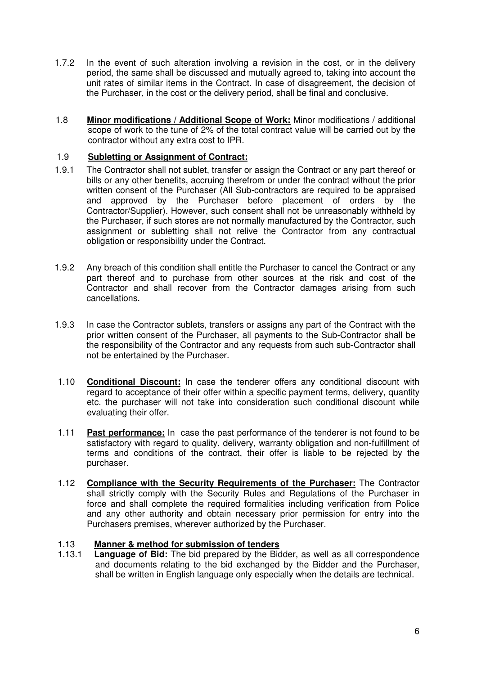- 1.7.2 In the event of such alteration involving a revision in the cost, or in the delivery period, the same shall be discussed and mutually agreed to, taking into account the unit rates of similar items in the Contract. In case of disagreement, the decision of the Purchaser, in the cost or the delivery period, shall be final and conclusive.
- 1.8 **Minor modifications / Additional Scope of Work:** Minor modifications / additional scope of work to the tune of 2% of the total contract value will be carried out by the contractor without any extra cost to IPR.

#### 1.9 **Subletting or Assignment of Contract:**

- 1.9.1 The Contractor shall not sublet, transfer or assign the Contract or any part thereof or bills or any other benefits, accruing therefrom or under the contract without the prior written consent of the Purchaser (All Sub-contractors are required to be appraised and approved by the Purchaser before placement of orders by the Contractor/Supplier). However, such consent shall not be unreasonably withheld by the Purchaser, if such stores are not normally manufactured by the Contractor, such assignment or subletting shall not relive the Contractor from any contractual obligation or responsibility under the Contract.
- 1.9.2 Any breach of this condition shall entitle the Purchaser to cancel the Contract or any part thereof and to purchase from other sources at the risk and cost of the Contractor and shall recover from the Contractor damages arising from such cancellations.
- 1.9.3 In case the Contractor sublets, transfers or assigns any part of the Contract with the prior written consent of the Purchaser, all payments to the Sub-Contractor shall be the responsibility of the Contractor and any requests from such sub-Contractor shall not be entertained by the Purchaser.
- 1.10 **Conditional Discount:** In case the tenderer offers any conditional discount with regard to acceptance of their offer within a specific payment terms, delivery, quantity etc. the purchaser will not take into consideration such conditional discount while evaluating their offer.
- 1.11 **Past performance:** In case the past performance of the tenderer is not found to be satisfactory with regard to quality, delivery, warranty obligation and non-fulfillment of terms and conditions of the contract, their offer is liable to be rejected by the purchaser.
- 1.12 **Compliance with the Security Requirements of the Purchaser:** The Contractor shall strictly comply with the Security Rules and Regulations of the Purchaser in force and shall complete the required formalities including verification from Police and any other authority and obtain necessary prior permission for entry into the Purchasers premises, wherever authorized by the Purchaser.

#### 1.13 **Manner & method for submission of tenders**

1.13.1 **Language of Bid:** The bid prepared by the Bidder, as well as all correspondence and documents relating to the bid exchanged by the Bidder and the Purchaser, shall be written in English language only especially when the details are technical.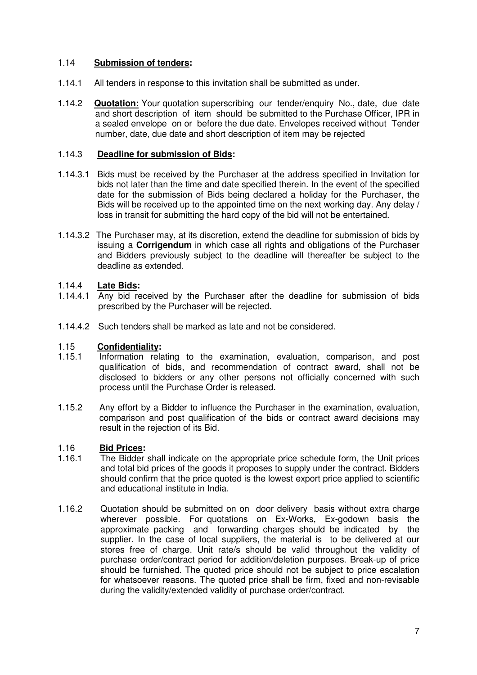#### 1.14 **Submission of tenders:**

- 1.14.1 All tenders in response to this invitation shall be submitted as under.
- 1.14.2 **Quotation:** Your quotation superscribing our tender/enquiry No., date, due date and short description of item should be submitted to the Purchase Officer, IPR in a sealed envelope on or before the due date. Envelopes received without Tender number, date, due date and short description of item may be rejected

#### 1.14.3 **Deadline for submission of Bids:**

- 1.14.3.1 Bids must be received by the Purchaser at the address specified in Invitation for bids not later than the time and date specified therein. In the event of the specified date for the submission of Bids being declared a holiday for the Purchaser, the Bids will be received up to the appointed time on the next working day. Any delay / loss in transit for submitting the hard copy of the bid will not be entertained.
- 1.14.3.2 The Purchaser may, at its discretion, extend the deadline for submission of bids by issuing a **Corrigendum** in which case all rights and obligations of the Purchaser and Bidders previously subject to the deadline will thereafter be subject to the deadline as extended.

#### 1.14.4 **Late Bids:**

- 1.14.4.1 Any bid received by the Purchaser after the deadline for submission of bids prescribed by the Purchaser will be rejected.
- 1.14.4.2 Such tenders shall be marked as late and not be considered.

# 1.15 **Confidentiality:**

- Information relating to the examination, evaluation, comparison, and post qualification of bids, and recommendation of contract award, shall not be disclosed to bidders or any other persons not officially concerned with such process until the Purchase Order is released.
- 1.15.2 Any effort by a Bidder to influence the Purchaser in the examination, evaluation, comparison and post qualification of the bids or contract award decisions may result in the rejection of its Bid.

#### 1.16 **Bid Prices:**

- 1.16.1 The Bidder shall indicate on the appropriate price schedule form, the Unit prices and total bid prices of the goods it proposes to supply under the contract. Bidders should confirm that the price quoted is the lowest export price applied to scientific and educational institute in India.
- 1.16.2 Quotation should be submitted on on door delivery basis without extra charge wherever possible. For quotations on Ex-Works, Ex-godown basis the approximate packing and forwarding charges should be indicated by the supplier. In the case of local suppliers, the material is to be delivered at our stores free of charge. Unit rate/s should be valid throughout the validity of purchase order/contract period for addition/deletion purposes. Break-up of price should be furnished. The quoted price should not be subject to price escalation for whatsoever reasons. The quoted price shall be firm, fixed and non-revisable during the validity/extended validity of purchase order/contract.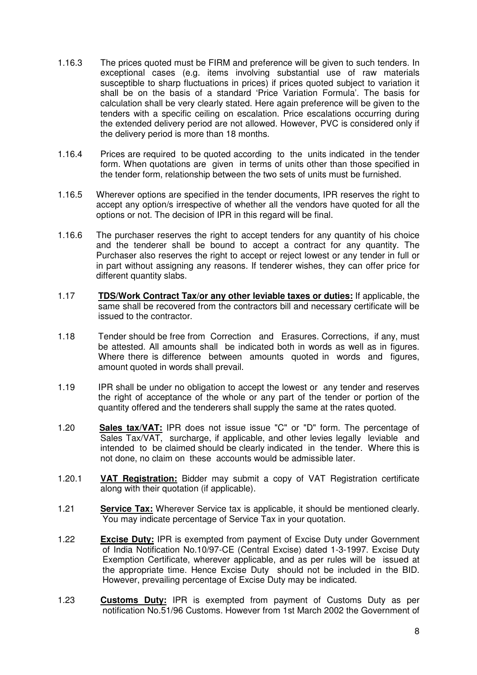- 1.16.3 The prices quoted must be FIRM and preference will be given to such tenders. In exceptional cases (e.g. items involving substantial use of raw materials susceptible to sharp fluctuations in prices) if prices quoted subject to variation it shall be on the basis of a standard 'Price Variation Formula'. The basis for calculation shall be very clearly stated. Here again preference will be given to the tenders with a specific ceiling on escalation. Price escalations occurring during the extended delivery period are not allowed. However, PVC is considered only if the delivery period is more than 18 months.
- 1.16.4 Prices are required to be quoted according to the units indicated in the tender form. When quotations are given in terms of units other than those specified in the tender form, relationship between the two sets of units must be furnished.
- 1.16.5 Wherever options are specified in the tender documents, IPR reserves the right to accept any option/s irrespective of whether all the vendors have quoted for all the options or not. The decision of IPR in this regard will be final.
- 1.16.6 The purchaser reserves the right to accept tenders for any quantity of his choice and the tenderer shall be bound to accept a contract for any quantity. The Purchaser also reserves the right to accept or reject lowest or any tender in full or in part without assigning any reasons. If tenderer wishes, they can offer price for different quantity slabs.
- 1.17 **TDS/Work Contract Tax/or any other leviable taxes or duties:** If applicable, the same shall be recovered from the contractors bill and necessary certificate will be issued to the contractor.
- 1.18 Tender should be free from Correction and Erasures. Corrections, if any, must be attested. All amounts shall be indicated both in words as well as in figures. Where there is difference between amounts quoted in words and figures, amount quoted in words shall prevail.
- 1.19 IPR shall be under no obligation to accept the lowest or any tender and reserves the right of acceptance of the whole or any part of the tender or portion of the quantity offered and the tenderers shall supply the same at the rates quoted.
- 1.20 **Sales tax/VAT:** IPR does not issue issue "C" or "D" form. The percentage of Sales Tax/VAT, surcharge, if applicable, and other levies legally leviable and intended to be claimed should be clearly indicated in the tender. Where this is not done, no claim on these accounts would be admissible later.
- 1.20.1 **VAT Registration:** Bidder may submit a copy of VAT Registration certificate along with their quotation (if applicable).
- 1.21 **Service Tax:** Wherever Service tax is applicable, it should be mentioned clearly. You may indicate percentage of Service Tax in your quotation.
- 1.22 **Excise Duty:** IPR is exempted from payment of Excise Duty under Government of India Notification No.10/97-CE (Central Excise) dated 1-3-1997. Excise Duty Exemption Certificate, wherever applicable, and as per rules will be issued at the appropriate time. Hence Excise Duty should not be included in the BID. However, prevailing percentage of Excise Duty may be indicated.
- 1.23 **Customs Duty:** IPR is exempted from payment of Customs Duty as per notification No.51/96 Customs. However from 1st March 2002 the Government of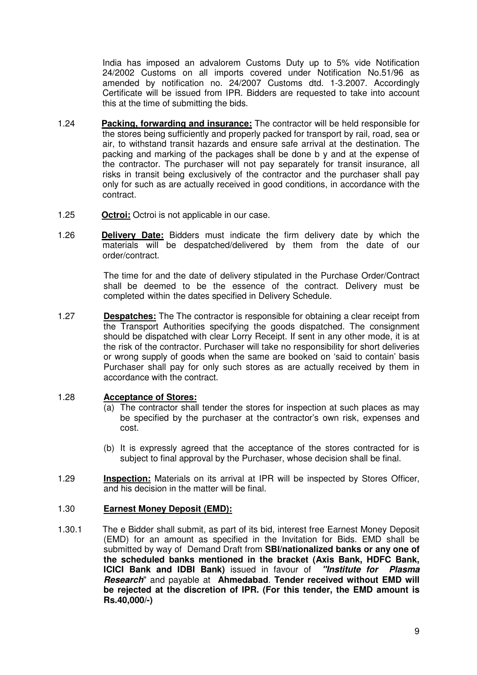India has imposed an advalorem Customs Duty up to 5% vide Notification 24/2002 Customs on all imports covered under Notification No.51/96 as amended by notification no. 24/2007 Customs dtd. 1-3.2007. Accordingly Certificate will be issued from IPR. Bidders are requested to take into account this at the time of submitting the bids.

- 1.24 **Packing, forwarding and insurance:** The contractor will be held responsible for the stores being sufficiently and properly packed for transport by rail, road, sea or air, to withstand transit hazards and ensure safe arrival at the destination. The packing and marking of the packages shall be done b y and at the expense of the contractor. The purchaser will not pay separately for transit insurance, all risks in transit being exclusively of the contractor and the purchaser shall pay only for such as are actually received in good conditions, in accordance with the contract.
- 1.25 **Octroi:** Octroi is not applicable in our case.
- 1.26 **Delivery Date:** Bidders must indicate the firm delivery date by which the materials will be despatched/delivered by them from the date of our order/contract.

The time for and the date of delivery stipulated in the Purchase Order/Contract shall be deemed to be the essence of the contract. Delivery must be completed within the dates specified in Delivery Schedule.

1.27 **Despatches:** The The contractor is responsible for obtaining a clear receipt from the Transport Authorities specifying the goods dispatched. The consignment should be dispatched with clear Lorry Receipt. If sent in any other mode, it is at the risk of the contractor. Purchaser will take no responsibility for short deliveries or wrong supply of goods when the same are booked on 'said to contain' basis Purchaser shall pay for only such stores as are actually received by them in accordance with the contract.

#### 1.28 **Acceptance of Stores:**

- (a) The contractor shall tender the stores for inspection at such places as may be specified by the purchaser at the contractor's own risk, expenses and cost.
- (b) It is expressly agreed that the acceptance of the stores contracted for is subject to final approval by the Purchaser, whose decision shall be final.
- 1.29 **Inspection:** Materials on its arrival at IPR will be inspected by Stores Officer, and his decision in the matter will be final.

#### 1.30 **Earnest Money Deposit (EMD):**

1.30.1 The e Bidder shall submit, as part of its bid, interest free Earnest Money Deposit (EMD) for an amount as specified in the Invitation for Bids. EMD shall be submitted by way of Demand Draft from **SBI/nationalized banks or any one of the scheduled banks mentioned in the bracket (Axis Bank, HDFC Bank, ICICI Bank and IDBI Bank)** issued in favour of **"Institute for Plasma Research**" and payable at **Ahmedabad**. **Tender received without EMD will be rejected at the discretion of IPR. (For this tender, the EMD amount is Rs.40,000/-)**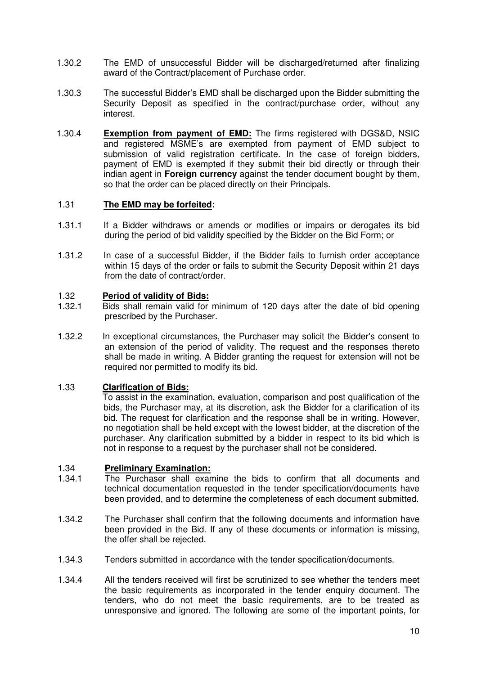- 1.30.2 The EMD of unsuccessful Bidder will be discharged/returned after finalizing award of the Contract/placement of Purchase order.
- 1.30.3 The successful Bidder's EMD shall be discharged upon the Bidder submitting the Security Deposit as specified in the contract/purchase order, without any interest.
- 1.30.4 **Exemption from payment of EMD:** The firms registered with DGS&D, NSIC and registered MSME's are exempted from payment of EMD subject to submission of valid registration certificate. In the case of foreign bidders, payment of EMD is exempted if they submit their bid directly or through their indian agent in **Foreign currency** against the tender document bought by them, so that the order can be placed directly on their Principals.

#### 1.31 **The EMD may be forfeited:**

- 1.31.1 If a Bidder withdraws or amends or modifies or impairs or derogates its bid during the period of bid validity specified by the Bidder on the Bid Form; or
- 1.31.2 In case of a successful Bidder, if the Bidder fails to furnish order acceptance within 15 days of the order or fails to submit the Security Deposit within 21 days from the date of contract/order.

#### 1.32 **Period of validity of Bids:**

- 1.32.1 Bids shall remain valid for minimum of 120 days after the date of bid opening prescribed by the Purchaser.
- 1.32.2 In exceptional circumstances, the Purchaser may solicit the Bidder's consent to an extension of the period of validity. The request and the responses thereto shall be made in writing. A Bidder granting the request for extension will not be required nor permitted to modify its bid.

#### 1.33 **Clarification of Bids:**

To assist in the examination, evaluation, comparison and post qualification of the bids, the Purchaser may, at its discretion, ask the Bidder for a clarification of its bid. The request for clarification and the response shall be in writing. However, no negotiation shall be held except with the lowest bidder, at the discretion of the purchaser. Any clarification submitted by a bidder in respect to its bid which is not in response to a request by the purchaser shall not be considered.

# 1.34 **Preliminary Examination:**

- The Purchaser shall examine the bids to confirm that all documents and technical documentation requested in the tender specification/documents have been provided, and to determine the completeness of each document submitted.
- 1.34.2 The Purchaser shall confirm that the following documents and information have been provided in the Bid. If any of these documents or information is missing, the offer shall be rejected.
- 1.34.3 Tenders submitted in accordance with the tender specification/documents.
- 1.34.4 All the tenders received will first be scrutinized to see whether the tenders meet the basic requirements as incorporated in the tender enquiry document. The tenders, who do not meet the basic requirements, are to be treated as unresponsive and ignored. The following are some of the important points, for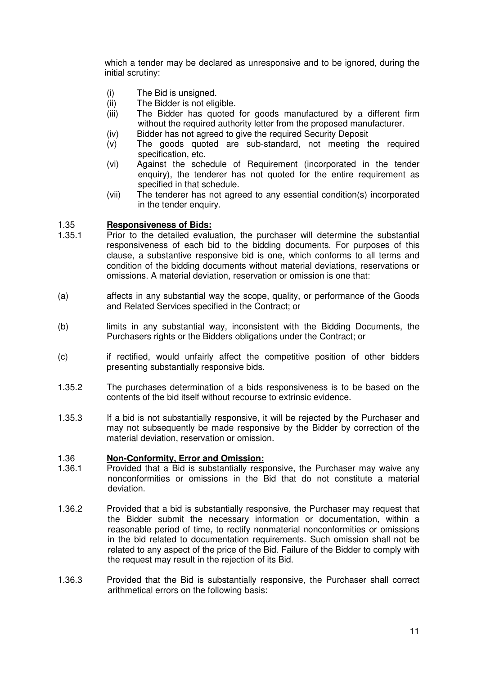which a tender may be declared as unresponsive and to be ignored, during the initial scrutiny:

- (i) The Bid is unsigned.
- (ii) The Bidder is not eligible.
- (iii) The Bidder has quoted for goods manufactured by a different firm without the required authority letter from the proposed manufacturer.
- (iv) Bidder has not agreed to give the required Security Deposit
- (v) The goods quoted are sub-standard, not meeting the required specification, etc.
- (vi) Against the schedule of Requirement (incorporated in the tender enquiry), the tenderer has not quoted for the entire requirement as specified in that schedule.
- (vii) The tenderer has not agreed to any essential condition(s) incorporated in the tender enquiry.

#### 1.35 **Responsiveness of Bids:**

- 1.35.1 Prior to the detailed evaluation, the purchaser will determine the substantial responsiveness of each bid to the bidding documents. For purposes of this clause, a substantive responsive bid is one, which conforms to all terms and condition of the bidding documents without material deviations, reservations or omissions. A material deviation, reservation or omission is one that:
- (a) affects in any substantial way the scope, quality, or performance of the Goods and Related Services specified in the Contract; or
- (b) limits in any substantial way, inconsistent with the Bidding Documents, the Purchasers rights or the Bidders obligations under the Contract; or
- (c) if rectified, would unfairly affect the competitive position of other bidders presenting substantially responsive bids.
- 1.35.2 The purchases determination of a bids responsiveness is to be based on the contents of the bid itself without recourse to extrinsic evidence.
- 1.35.3 If a bid is not substantially responsive, it will be rejected by the Purchaser and may not subsequently be made responsive by the Bidder by correction of the material deviation, reservation or omission.

#### 1.36 **Non-Conformity, Error and Omission:**

- 1.36.1 Provided that a Bid is substantially responsive, the Purchaser may waive any nonconformities or omissions in the Bid that do not constitute a material deviation.
- 1.36.2 Provided that a bid is substantially responsive, the Purchaser may request that the Bidder submit the necessary information or documentation, within a reasonable period of time, to rectify nonmaterial nonconformities or omissions in the bid related to documentation requirements. Such omission shall not be related to any aspect of the price of the Bid. Failure of the Bidder to comply with the request may result in the rejection of its Bid.
- 1.36.3 Provided that the Bid is substantially responsive, the Purchaser shall correct arithmetical errors on the following basis: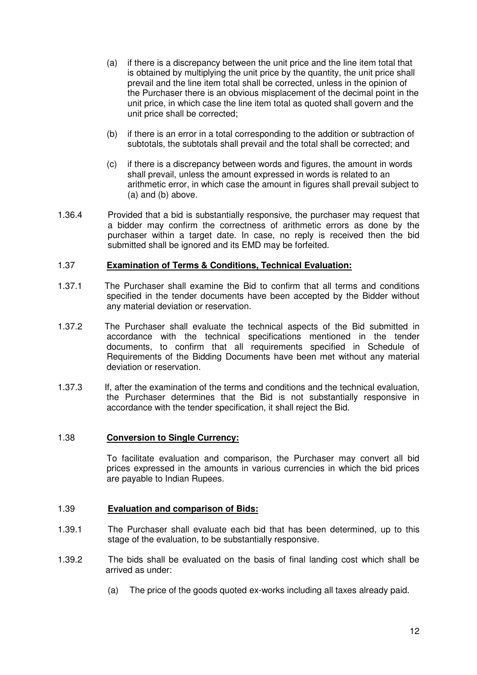- (a) if there is a discrepancy between the unit price and the line item total that is obtained by multiplying the unit price by the quantity, the unit price shall prevail and the line item total shall be corrected, unless in the opinion of the Purchaser there is an obvious misplacement of the decimal point in the unit price, in which case the line item total as quoted shall govern and the unit price shall be corrected;
- (b) if there is an error in a total corresponding to the addition or subtraction of subtotals, the subtotals shall prevail and the total shall be corrected; and
- (c) if there is a discrepancy between words and figures, the amount in words shall prevail, unless the amount expressed in words is related to an arithmetic error, in which case the amount in figures shall prevail subject to (a) and (b) above.
- 1.36.4 Provided that a bid is substantially responsive, the purchaser may request that a bidder may confirm the correctness of arithmetic errors as done by the purchaser within a target date. In case, no reply is received then the bid submitted shall be ignored and its EMD may be forfeited.

#### 1.37 **Examination of Terms & Conditions, Technical Evaluation:**

- 1.37.1 The Purchaser shall examine the Bid to confirm that all terms and conditions specified in the tender documents have been accepted by the Bidder without any material deviation or reservation.
- 1.37.2 The Purchaser shall evaluate the technical aspects of the Bid submitted in accordance with the technical specifications mentioned in the tender documents, to confirm that all requirements specified in Schedule of Requirements of the Bidding Documents have been met without any material deviation or reservation.
- 1.37.3 If, after the examination of the terms and conditions and the technical evaluation, the Purchaser determines that the Bid is not substantially responsive in accordance with the tender specification, it shall reject the Bid.

#### 1.38 **Conversion to Single Currency:**

 To facilitate evaluation and comparison, the Purchaser may convert all bid prices expressed in the amounts in various currencies in which the bid prices are payable to Indian Rupees.

#### 1.39 **Evaluation and comparison of Bids:**

- 1.39.1 The Purchaser shall evaluate each bid that has been determined, up to this stage of the evaluation, to be substantially responsive.
- 1.39.2 The bids shall be evaluated on the basis of final landing cost which shall be arrived as under:
	- (a) The price of the goods quoted ex-works including all taxes already paid.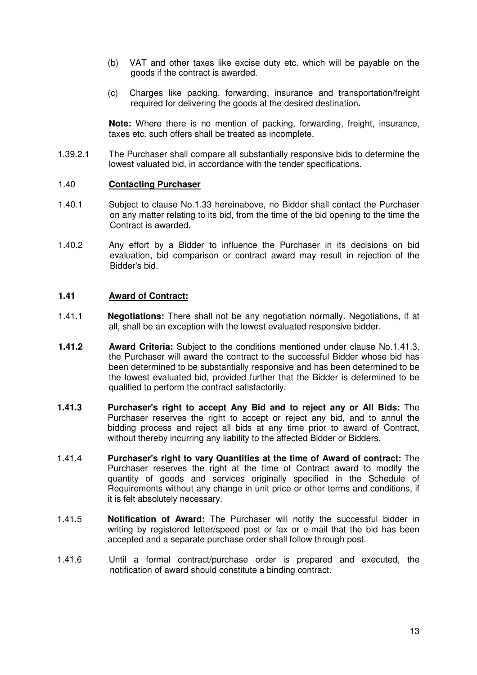- (b) VAT and other taxes like excise duty etc. which will be payable on the goods if the contract is awarded.
- (c) Charges like packing, forwarding, insurance and transportation/freight required for delivering the goods at the desired destination.

**Note:** Where there is no mention of packing, forwarding, freight, insurance, taxes etc. such offers shall be treated as incomplete.

1.39.2.1 The Purchaser shall compare all substantially responsive bids to determine the lowest valuated bid, in accordance with the tender specifications.

#### 1.40 **Contacting Purchaser**

- 1.40.1 Subject to clause No.1.33 hereinabove, no Bidder shall contact the Purchaser on any matter relating to its bid, from the time of the bid opening to the time the Contract is awarded.
- 1.40.2 Any effort by a Bidder to influence the Purchaser in its decisions on bid evaluation, bid comparison or contract award may result in rejection of the Bidder's bid.

#### **1.41 Award of Contract:**

- 1.41.1 **Negotiations:** There shall not be any negotiation normally. Negotiations, if at all, shall be an exception with the lowest evaluated responsive bidder.
- **1.41.2 Award Criteria:** Subject to the conditions mentioned under clause No.1.41.3, the Purchaser will award the contract to the successful Bidder whose bid has been determined to be substantially responsive and has been determined to be the lowest evaluated bid, provided further that the Bidder is determined to be qualified to perform the contract satisfactorily.
- **1.41.3 Purchaser's right to accept Any Bid and to reject any or All Bids:** The Purchaser reserves the right to accept or reject any bid, and to annul the bidding process and reject all bids at any time prior to award of Contract, without thereby incurring any liability to the affected Bidder or Bidders.
- 1.41.4 **Purchaser's right to vary Quantities at the time of Award of contract:** The Purchaser reserves the right at the time of Contract award to modify the quantity of goods and services originally specified in the Schedule of Requirements without any change in unit price or other terms and conditions, if it is felt absolutely necessary.
- 1.41.5 **Notification of Award:** The Purchaser will notify the successful bidder in writing by registered letter/speed post or fax or e-mail that the bid has been accepted and a separate purchase order shall follow through post.
- 1.41.6 Until a formal contract/purchase order is prepared and executed, the notification of award should constitute a binding contract.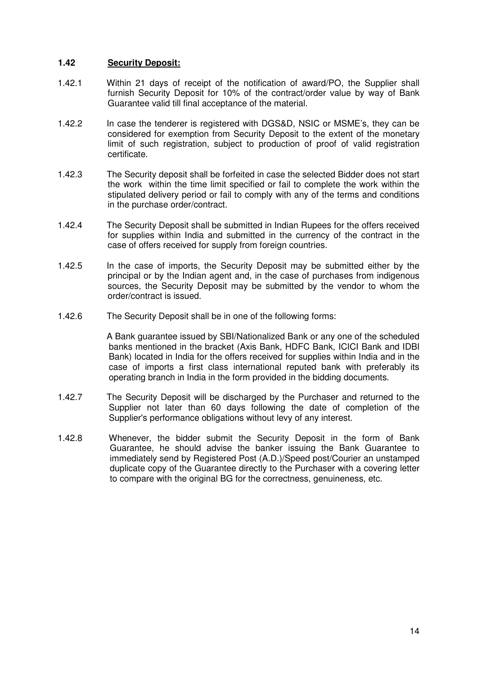#### **1.42 Security Deposit:**

- 1.42.1 Within 21 days of receipt of the notification of award/PO, the Supplier shall furnish Security Deposit for 10% of the contract/order value by way of Bank Guarantee valid till final acceptance of the material.
- 1.42.2 In case the tenderer is registered with DGS&D, NSIC or MSME's, they can be considered for exemption from Security Deposit to the extent of the monetary limit of such registration, subject to production of proof of valid registration certificate.
- 1.42.3 The Security deposit shall be forfeited in case the selected Bidder does not start the work within the time limit specified or fail to complete the work within the stipulated delivery period or fail to comply with any of the terms and conditions in the purchase order/contract.
- 1.42.4 The Security Deposit shall be submitted in Indian Rupees for the offers received for supplies within India and submitted in the currency of the contract in the case of offers received for supply from foreign countries.
- 1.42.5 In the case of imports, the Security Deposit may be submitted either by the principal or by the Indian agent and, in the case of purchases from indigenous sources, the Security Deposit may be submitted by the vendor to whom the order/contract is issued.
- 1.42.6 The Security Deposit shall be in one of the following forms:

 A Bank guarantee issued by SBI/Nationalized Bank or any one of the scheduled banks mentioned in the bracket (Axis Bank, HDFC Bank, ICICI Bank and IDBI Bank) located in India for the offers received for supplies within India and in the case of imports a first class international reputed bank with preferably its operating branch in India in the form provided in the bidding documents.

- 1.42.7 The Security Deposit will be discharged by the Purchaser and returned to the Supplier not later than 60 days following the date of completion of the Supplier's performance obligations without levy of any interest.
- 1.42.8 Whenever, the bidder submit the Security Deposit in the form of Bank Guarantee, he should advise the banker issuing the Bank Guarantee to immediately send by Registered Post (A.D.)/Speed post/Courier an unstamped duplicate copy of the Guarantee directly to the Purchaser with a covering letter to compare with the original BG for the correctness, genuineness, etc.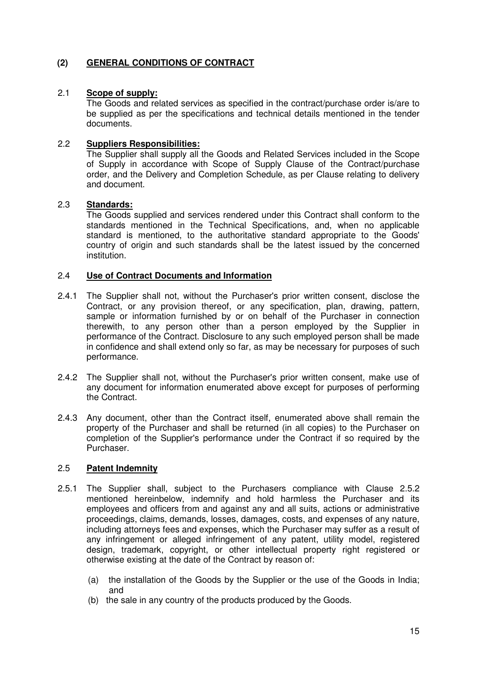### **(2) GENERAL CONDITIONS OF CONTRACT**

#### 2.1 **Scope of supply:**

The Goods and related services as specified in the contract/purchase order is/are to be supplied as per the specifications and technical details mentioned in the tender documents.

#### 2.2 **Suppliers Responsibilities:**

The Supplier shall supply all the Goods and Related Services included in the Scope of Supply in accordance with Scope of Supply Clause of the Contract/purchase order, and the Delivery and Completion Schedule, as per Clause relating to delivery and document.

#### 2.3 **Standards:**

The Goods supplied and services rendered under this Contract shall conform to the standards mentioned in the Technical Specifications, and, when no applicable standard is mentioned, to the authoritative standard appropriate to the Goods' country of origin and such standards shall be the latest issued by the concerned institution.

#### 2.4 **Use of Contract Documents and Information**

- 2.4.1 The Supplier shall not, without the Purchaser's prior written consent, disclose the Contract, or any provision thereof, or any specification, plan, drawing, pattern, sample or information furnished by or on behalf of the Purchaser in connection therewith, to any person other than a person employed by the Supplier in performance of the Contract. Disclosure to any such employed person shall be made in confidence and shall extend only so far, as may be necessary for purposes of such performance.
- 2.4.2 The Supplier shall not, without the Purchaser's prior written consent, make use of any document for information enumerated above except for purposes of performing the Contract.
- 2.4.3 Any document, other than the Contract itself, enumerated above shall remain the property of the Purchaser and shall be returned (in all copies) to the Purchaser on completion of the Supplier's performance under the Contract if so required by the Purchaser.

#### 2.5 **Patent Indemnity**

- 2.5.1 The Supplier shall, subject to the Purchasers compliance with Clause 2.5.2 mentioned hereinbelow, indemnify and hold harmless the Purchaser and its employees and officers from and against any and all suits, actions or administrative proceedings, claims, demands, losses, damages, costs, and expenses of any nature, including attorneys fees and expenses, which the Purchaser may suffer as a result of any infringement or alleged infringement of any patent, utility model, registered design, trademark, copyright, or other intellectual property right registered or otherwise existing at the date of the Contract by reason of:
	- (a) the installation of the Goods by the Supplier or the use of the Goods in India; and
	- (b) the sale in any country of the products produced by the Goods.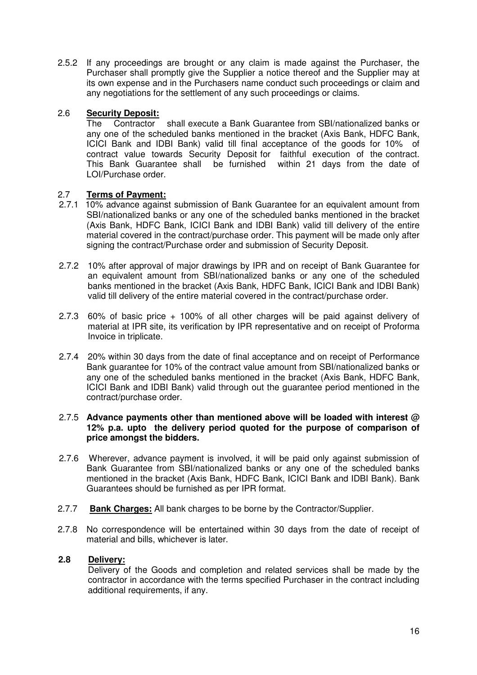2.5.2 If any proceedings are brought or any claim is made against the Purchaser, the Purchaser shall promptly give the Supplier a notice thereof and the Supplier may at its own expense and in the Purchasers name conduct such proceedings or claim and any negotiations for the settlement of any such proceedings or claims.

#### 2.6 **Security Deposit:**

 The Contractor shall execute a Bank Guarantee from SBI/nationalized banks or any one of the scheduled banks mentioned in the bracket (Axis Bank, HDFC Bank, ICICI Bank and IDBI Bank) valid till final acceptance of the goods for 10% of contract value towards Security Deposit for faithful execution of the contract. This Bank Guarantee shall be furnished within 21 days from the date of LOI/Purchase order.

#### 2.7 **Terms of Payment:**

- 2.7.1 10% advance against submission of Bank Guarantee for an equivalent amount from SBI/nationalized banks or any one of the scheduled banks mentioned in the bracket (Axis Bank, HDFC Bank, ICICI Bank and IDBI Bank) valid till delivery of the entire material covered in the contract/purchase order. This payment will be made only after signing the contract/Purchase order and submission of Security Deposit.
- 2.7.2 10% after approval of major drawings by IPR and on receipt of Bank Guarantee for an equivalent amount from SBI/nationalized banks or any one of the scheduled banks mentioned in the bracket (Axis Bank, HDFC Bank, ICICI Bank and IDBI Bank) valid till delivery of the entire material covered in the contract/purchase order.
- 2.7.3 60% of basic price + 100% of all other charges will be paid against delivery of material at IPR site, its verification by IPR representative and on receipt of Proforma Invoice in triplicate.
- 2.7.4 20% within 30 days from the date of final acceptance and on receipt of Performance Bank guarantee for 10% of the contract value amount from SBI/nationalized banks or any one of the scheduled banks mentioned in the bracket (Axis Bank, HDFC Bank, ICICI Bank and IDBI Bank) valid through out the guarantee period mentioned in the contract/purchase order.

#### 2.7.5 **Advance payments other than mentioned above will be loaded with interest @ 12% p.a. upto the delivery period quoted for the purpose of comparison of price amongst the bidders.**

- 2.7.6 Wherever, advance payment is involved, it will be paid only against submission of Bank Guarantee from SBI/nationalized banks or any one of the scheduled banks mentioned in the bracket (Axis Bank, HDFC Bank, ICICI Bank and IDBI Bank). Bank Guarantees should be furnished as per IPR format.
- 2.7.7 **Bank Charges:** All bank charges to be borne by the Contractor/Supplier.
- 2.7.8 No correspondence will be entertained within 30 days from the date of receipt of material and bills, whichever is later.

#### **2.8 Delivery:**

Delivery of the Goods and completion and related services shall be made by the contractor in accordance with the terms specified Purchaser in the contract including additional requirements, if any.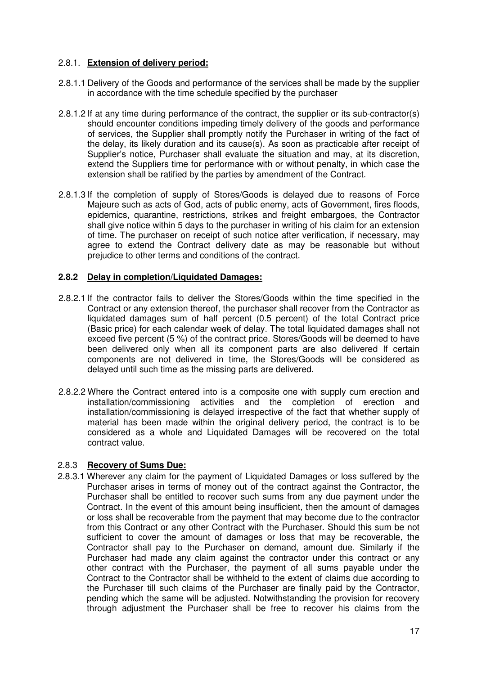#### 2.8.1. **Extension of delivery period:**

- 2.8.1.1 Delivery of the Goods and performance of the services shall be made by the supplier in accordance with the time schedule specified by the purchaser
- 2.8.1.2 If at any time during performance of the contract, the supplier or its sub-contractor(s) should encounter conditions impeding timely delivery of the goods and performance of services, the Supplier shall promptly notify the Purchaser in writing of the fact of the delay, its likely duration and its cause(s). As soon as practicable after receipt of Supplier's notice, Purchaser shall evaluate the situation and may, at its discretion, extend the Suppliers time for performance with or without penalty, in which case the extension shall be ratified by the parties by amendment of the Contract.
- 2.8.1.3 If the completion of supply of Stores/Goods is delayed due to reasons of Force Majeure such as acts of God, acts of public enemy, acts of Government, fires floods, epidemics, quarantine, restrictions, strikes and freight embargoes, the Contractor shall give notice within 5 days to the purchaser in writing of his claim for an extension of time. The purchaser on receipt of such notice after verification, if necessary, may agree to extend the Contract delivery date as may be reasonable but without prejudice to other terms and conditions of the contract.

#### **2.8.2 Delay in completion/Liquidated Damages:**

- 2.8.2.1 If the contractor fails to deliver the Stores/Goods within the time specified in the Contract or any extension thereof, the purchaser shall recover from the Contractor as liquidated damages sum of half percent (0.5 percent) of the total Contract price (Basic price) for each calendar week of delay. The total liquidated damages shall not exceed five percent (5 %) of the contract price. Stores/Goods will be deemed to have been delivered only when all its component parts are also delivered If certain components are not delivered in time, the Stores/Goods will be considered as delayed until such time as the missing parts are delivered.
- 2.8.2.2 Where the Contract entered into is a composite one with supply cum erection and installation/commissioning activities and the completion of erection and installation/commissioning is delayed irrespective of the fact that whether supply of material has been made within the original delivery period, the contract is to be considered as a whole and Liquidated Damages will be recovered on the total contract value.

#### 2.8.3 **Recovery of Sums Due:**

2.8.3.1 Wherever any claim for the payment of Liquidated Damages or loss suffered by the Purchaser arises in terms of money out of the contract against the Contractor, the Purchaser shall be entitled to recover such sums from any due payment under the Contract. In the event of this amount being insufficient, then the amount of damages or loss shall be recoverable from the payment that may become due to the contractor from this Contract or any other Contract with the Purchaser. Should this sum be not sufficient to cover the amount of damages or loss that may be recoverable, the Contractor shall pay to the Purchaser on demand, amount due. Similarly if the Purchaser had made any claim against the contractor under this contract or any other contract with the Purchaser, the payment of all sums payable under the Contract to the Contractor shall be withheld to the extent of claims due according to the Purchaser till such claims of the Purchaser are finally paid by the Contractor, pending which the same will be adjusted. Notwithstanding the provision for recovery through adjustment the Purchaser shall be free to recover his claims from the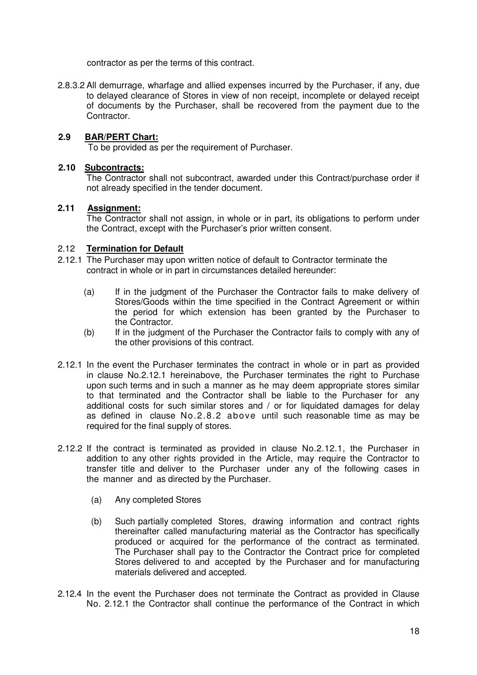contractor as per the terms of this contract.

2.8.3.2 All demurrage, wharfage and allied expenses incurred by the Purchaser, if any, due to delayed clearance of Stores in view of non receipt, incomplete or delayed receipt of documents by the Purchaser, shall be recovered from the payment due to the Contractor.

#### **2.9 BAR/PERT Chart:**

To be provided as per the requirement of Purchaser.

#### **2.10 Subcontracts:**

The Contractor shall not subcontract, awarded under this Contract/purchase order if not already specified in the tender document.

#### **2.11 Assignment:**

The Contractor shall not assign, in whole or in part, its obligations to perform under the Contract, except with the Purchaser's prior written consent.

#### 2.12 **Termination for Default**

- 2.12.1 The Purchaser may upon written notice of default to Contractor terminate the contract in whole or in part in circumstances detailed hereunder:
	- (a) If in the judgment of the Purchaser the Contractor fails to make delivery of Stores/Goods within the time specified in the Contract Agreement or within the period for which extension has been granted by the Purchaser to the Contractor.
	- (b) If in the judgment of the Purchaser the Contractor fails to comply with any of the other provisions of this contract.
- 2.12.1 In the event the Purchaser terminates the contract in whole or in part as provided in clause No.2.12.1 hereinabove, the Purchaser terminates the right to Purchase upon such terms and in such a manner as he may deem appropriate stores similar to that terminated and the Contractor shall be liable to the Purchaser for any additional costs for such similar stores and / or for liquidated damages for delay as defined in clause No.2.8.2 above until such reasonable time as may be required for the final supply of stores.
- 2.12.2 If the contract is terminated as provided in clause No.2.12.1, the Purchaser in addition to any other rights provided in the Article, may require the Contractor to transfer title and deliver to the Purchaser under any of the following cases in the manner and as directed by the Purchaser.
	- (a) Any completed Stores
	- (b) Such partially completed Stores, drawing information and contract rights thereinafter called manufacturing material as the Contractor has specifically produced or acquired for the performance of the contract as terminated. The Purchaser shall pay to the Contractor the Contract price for completed Stores delivered to and accepted by the Purchaser and for manufacturing materials delivered and accepted.
- 2.12.4 In the event the Purchaser does not terminate the Contract as provided in Clause No. 2.12.1 the Contractor shall continue the performance of the Contract in which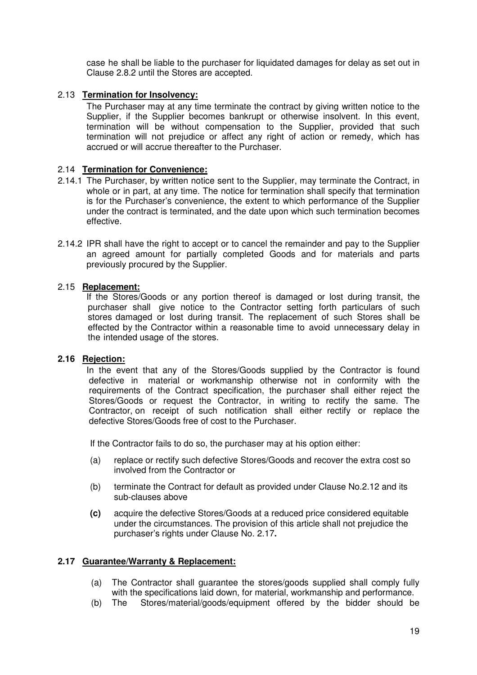case he shall be liable to the purchaser for liquidated damages for delay as set out in Clause 2.8.2 until the Stores are accepted.

#### 2.13 **Termination for Insolvency:**

The Purchaser may at any time terminate the contract by giving written notice to the Supplier, if the Supplier becomes bankrupt or otherwise insolvent. In this event, termination will be without compensation to the Supplier, provided that such termination will not prejudice or affect any right of action or remedy, which has accrued or will accrue thereafter to the Purchaser.

#### 2.14 **Termination for Convenience:**

- 2.14.1 The Purchaser, by written notice sent to the Supplier, may terminate the Contract, in whole or in part, at any time. The notice for termination shall specify that termination is for the Purchaser's convenience, the extent to which performance of the Supplier under the contract is terminated, and the date upon which such termination becomes effective.
- 2.14.2 IPR shall have the right to accept or to cancel the remainder and pay to the Supplier an agreed amount for partially completed Goods and for materials and parts previously procured by the Supplier.

#### 2.15 **Replacement:**

If the Stores/Goods or any portion thereof is damaged or lost during transit, the purchaser shall give notice to the Contractor setting forth particulars of such stores damaged or lost during transit. The replacement of such Stores shall be effected by the Contractor within a reasonable time to avoid unnecessary delay in the intended usage of the stores.

#### **2.16 Rejection:**

In the event that any of the Stores/Goods supplied by the Contractor is found defective in material or workmanship otherwise not in conformity with the requirements of the Contract specification, the purchaser shall either reject the Stores/Goods or request the Contractor, in writing to rectify the same. The Contractor, on receipt of such notification shall either rectify or replace the defective Stores/Goods free of cost to the Purchaser.

If the Contractor fails to do so, the purchaser may at his option either:

- (a) replace or rectify such defective Stores/Goods and recover the extra cost so involved from the Contractor or
- (b) terminate the Contract for default as provided under Clause No.2.12 and its sub-clauses above
- **(c)** acquire the defective Stores/Goods at a reduced price considered equitable under the circumstances. The provision of this article shall not prejudice the purchaser's rights under Clause No. 2.17**.**

#### **2.17 Guarantee/Warranty & Replacement:**

- (a) The Contractor shall guarantee the stores/goods supplied shall comply fully with the specifications laid down, for material, workmanship and performance.
- (b) The Stores/material/goods/equipment offered by the bidder should be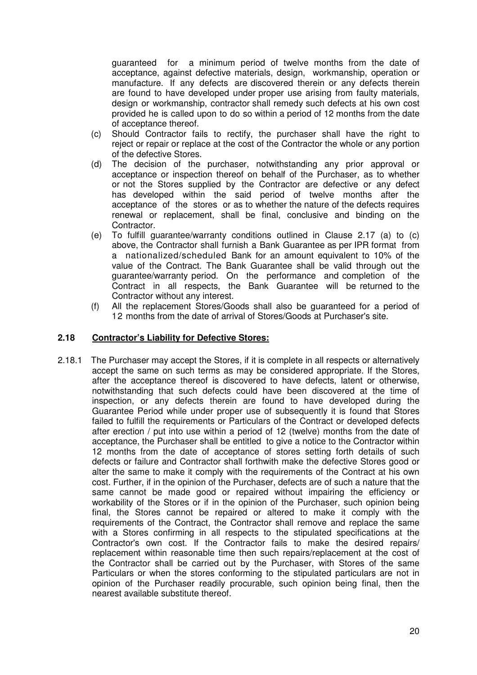guaranteed for a minimum period of twelve months from the date of acceptance, against defective materials, design, workmanship, operation or manufacture. If any defects are discovered therein or any defects therein are found to have developed under proper use arising from faulty materials, design or workmanship, contractor shall remedy such defects at his own cost provided he is called upon to do so within a period of 12 months from the date of acceptance thereof.

- (c) Should Contractor fails to rectify, the purchaser shall have the right to reject or repair or replace at the cost of the Contractor the whole or any portion of the defective Stores.
- (d) The decision of the purchaser, notwithstanding any prior approval or acceptance or inspection thereof on behalf of the Purchaser, as to whether or not the Stores supplied by the Contractor are defective or any defect has developed within the said period of twelve months after the acceptance of the stores or as to whether the nature of the defects requires renewal or replacement, shall be final, conclusive and binding on the Contractor.
- (e) To fulfill guarantee/warranty conditions outlined in Clause 2.17 (a) to (c) above, the Contractor shall furnish a Bank Guarantee as per IPR format from a nationalized/scheduled Bank for an amount equivalent to 10% of the value of the Contract. The Bank Guarantee shall be valid through out the guarantee/warranty period. On the performance and completion of the Contract in all respects, the Bank Guarantee will be returned to the Contractor without any interest.
- (f) All the replacement Stores/Goods shall also be guaranteed for a period of 12 months from the date of arrival of Stores/Goods at Purchaser's site.

#### **2.18 Contractor's Liability for Defective Stores:**

2.18.1 The Purchaser may accept the Stores, if it is complete in all respects or alternatively accept the same on such terms as may be considered appropriate. If the Stores, after the acceptance thereof is discovered to have defects, latent or otherwise, notwithstanding that such defects could have been discovered at the time of inspection, or any defects therein are found to have developed during the Guarantee Period while under proper use of subsequently it is found that Stores failed to fulfill the requirements or Particulars of the Contract or developed defects after erection / put into use within a period of 12 (twelve) months from the date of acceptance, the Purchaser shall be entitled to give a notice to the Contractor within 12 months from the date of acceptance of stores setting forth details of such defects or failure and Contractor shall forthwith make the defective Stores good or alter the same to make it comply with the requirements of the Contract at his own cost. Further, if in the opinion of the Purchaser, defects are of such a nature that the same cannot be made good or repaired without impairing the efficiency or workability of the Stores or if in the opinion of the Purchaser, such opinion being final, the Stores cannot be repaired or altered to make it comply with the requirements of the Contract, the Contractor shall remove and replace the same with a Stores confirming in all respects to the stipulated specifications at the Contractor's own cost. If the Contractor fails to make the desired repairs/ replacement within reasonable time then such repairs/replacement at the cost of the Contractor shall be carried out by the Purchaser, with Stores of the same Particulars or when the stores conforming to the stipulated particulars are not in opinion of the Purchaser readily procurable, such opinion being final, then the nearest available substitute thereof.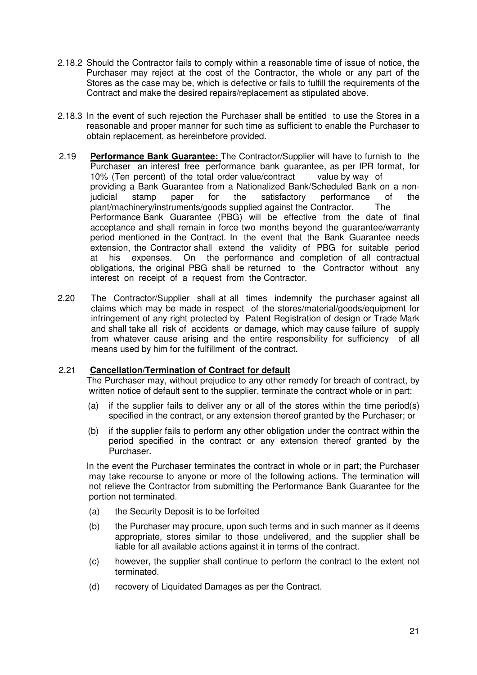- 2.18.2 Should the Contractor fails to comply within a reasonable time of issue of notice, the Purchaser may reject at the cost of the Contractor, the whole or any part of the Stores as the case may be, which is defective or fails to fulfill the requirements of the Contract and make the desired repairs/replacement as stipulated above.
- 2.18.3 In the event of such rejection the Purchaser shall be entitled to use the Stores in a reasonable and proper manner for such time as sufficient to enable the Purchaser to obtain replacement, as hereinbefore provided.
- 2.19 **Performance Bank Guarantee:** The Contractor/Supplier will have to furnish to the Purchaser an interest free performance bank guarantee, as per IPR format, for 10% (Ten percent) of the total order value/contract value by way of providing a Bank Guarantee from a Nationalized Bank/Scheduled Bank on a nonjudicial stamp paper for the satisfactory performance of the plant/machinery/instruments/goods supplied against the Contractor. The Performance Bank Guarantee (PBG) will be effective from the date of final acceptance and shall remain in force two months beyond the guarantee/warranty period mentioned in the Contract. In the event that the Bank Guarantee needs extension, the Contractor shall extend the validity of PBG for suitable period at his expenses. On the performance and completion of all contractual obligations, the original PBG shall be returned to the Contractor without any interest on receipt of a request from the Contractor.
- 2.20 The Contractor/Supplier shall at all times indemnify the purchaser against all claims which may be made in respect of the stores/material/goods/equipment for infringement of any right protected by Patent Registration of design or Trade Mark and shall take all risk of accidents or damage, which may cause failure of supply from whatever cause arising and the entire responsibility for sufficiency of all means used by him for the fulfillment of the contract.

#### 2.21 **Cancellation/Termination of Contract for default**

The Purchaser may, without prejudice to any other remedy for breach of contract, by written notice of default sent to the supplier, terminate the contract whole or in part:

- (a) if the supplier fails to deliver any or all of the stores within the time period(s) specified in the contract, or any extension thereof granted by the Purchaser; or
- (b) if the supplier fails to perform any other obligation under the contract within the period specified in the contract or any extension thereof granted by the Purchaser.

In the event the Purchaser terminates the contract in whole or in part; the Purchaser may take recourse to anyone or more of the following actions. The termination will not relieve the Contractor from submitting the Performance Bank Guarantee for the portion not terminated.

- (a) the Security Deposit is to be forfeited
- (b) the Purchaser may procure, upon such terms and in such manner as it deems appropriate, stores similar to those undelivered, and the supplier shall be liable for all available actions against it in terms of the contract.
- (c) however, the supplier shall continue to perform the contract to the extent not terminated.
- (d) recovery of Liquidated Damages as per the Contract.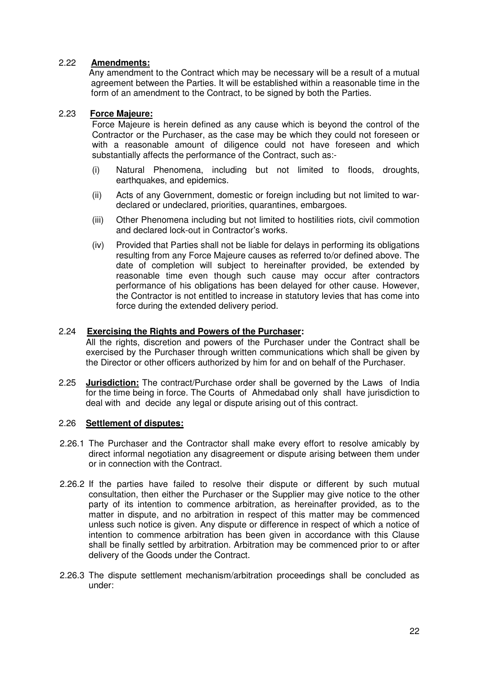#### 2.22 **Amendments:**

 Any amendment to the Contract which may be necessary will be a result of a mutual agreement between the Parties. It will be established within a reasonable time in the form of an amendment to the Contract, to be signed by both the Parties.

#### 2.23 **Force Majeure:**

Force Majeure is herein defined as any cause which is beyond the control of the Contractor or the Purchaser, as the case may be which they could not foreseen or with a reasonable amount of diligence could not have foreseen and which substantially affects the performance of the Contract, such as:-

- (i) Natural Phenomena, including but not limited to floods, droughts, earthquakes, and epidemics.
- (ii) Acts of any Government, domestic or foreign including but not limited to wardeclared or undeclared, priorities, quarantines, embargoes.
- (iii) Other Phenomena including but not limited to hostilities riots, civil commotion and declared lock-out in Contractor's works.
- (iv) Provided that Parties shall not be liable for delays in performing its obligations resulting from any Force Majeure causes as referred to/or defined above. The date of completion will subject to hereinafter provided, be extended by reasonable time even though such cause may occur after contractors performance of his obligations has been delayed for other cause. However, the Contractor is not entitled to increase in statutory levies that has come into force during the extended delivery period.

#### 2.24 **Exercising the Rights and Powers of the Purchaser:**

All the rights, discretion and powers of the Purchaser under the Contract shall be exercised by the Purchaser through written communications which shall be given by the Director or other officers authorized by him for and on behalf of the Purchaser.

2.25 **Jurisdiction:** The contract/Purchase order shall be governed by the Laws of India for the time being in force. The Courts of Ahmedabad only shall have jurisdiction to deal with and decide any legal or dispute arising out of this contract.

#### 2.26 **Settlement of disputes:**

- 2.26.1 The Purchaser and the Contractor shall make every effort to resolve amicably by direct informal negotiation any disagreement or dispute arising between them under or in connection with the Contract.
- 2.26.2 If the parties have failed to resolve their dispute or different by such mutual consultation, then either the Purchaser or the Supplier may give notice to the other party of its intention to commence arbitration, as hereinafter provided, as to the matter in dispute, and no arbitration in respect of this matter may be commenced unless such notice is given. Any dispute or difference in respect of which a notice of intention to commence arbitration has been given in accordance with this Clause shall be finally settled by arbitration. Arbitration may be commenced prior to or after delivery of the Goods under the Contract.
- 2.26.3 The dispute settlement mechanism/arbitration proceedings shall be concluded as under: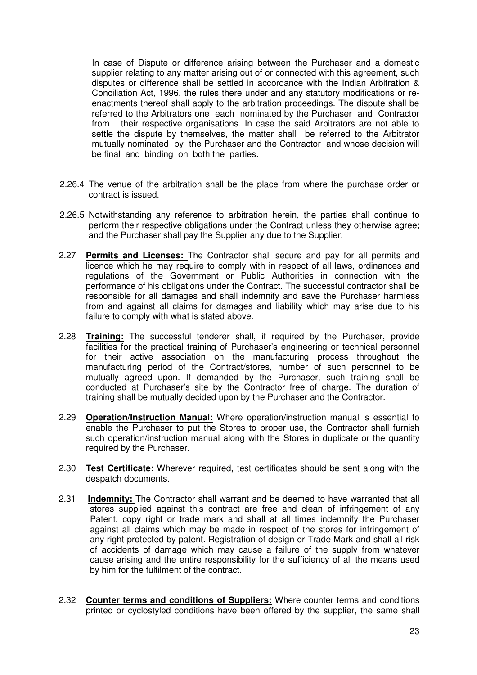In case of Dispute or difference arising between the Purchaser and a domestic supplier relating to any matter arising out of or connected with this agreement, such disputes or difference shall be settled in accordance with the Indian Arbitration & Conciliation Act, 1996, the rules there under and any statutory modifications or reenactments thereof shall apply to the arbitration proceedings. The dispute shall be referred to the Arbitrators one each nominated by the Purchaser and Contractor from their respective organisations. In case the said Arbitrators are not able to settle the dispute by themselves, the matter shall be referred to the Arbitrator mutually nominated by the Purchaser and the Contractor and whose decision will be final and binding on both the parties.

- 2.26.4 The venue of the arbitration shall be the place from where the purchase order or contract is issued.
- 2.26.5 Notwithstanding any reference to arbitration herein, the parties shall continue to perform their respective obligations under the Contract unless they otherwise agree; and the Purchaser shall pay the Supplier any due to the Supplier.
- 2.27 **Permits and Licenses:** The Contractor shall secure and pay for all permits and licence which he may require to comply with in respect of all laws, ordinances and regulations of the Government or Public Authorities in connection with the performance of his obligations under the Contract. The successful contractor shall be responsible for all damages and shall indemnify and save the Purchaser harmless from and against all claims for damages and liability which may arise due to his failure to comply with what is stated above.
- 2.28 **Training:** The successful tenderer shall, if required by the Purchaser, provide facilities for the practical training of Purchaser's engineering or technical personnel for their active association on the manufacturing process throughout the manufacturing period of the Contract/stores, number of such personnel to be mutually agreed upon. If demanded by the Purchaser, such training shall be conducted at Purchaser's site by the Contractor free of charge. The duration of training shall be mutually decided upon by the Purchaser and the Contractor.
- 2.29 **Operation/Instruction Manual:** Where operation/instruction manual is essential to enable the Purchaser to put the Stores to proper use, the Contractor shall furnish such operation/instruction manual along with the Stores in duplicate or the quantity required by the Purchaser.
- 2.30 **Test Certificate:** Wherever required, test certificates should be sent along with the despatch documents.
- 2.31 **Indemnity:** The Contractor shall warrant and be deemed to have warranted that all stores supplied against this contract are free and clean of infringement of any Patent, copy right or trade mark and shall at all times indemnify the Purchaser against all claims which may be made in respect of the stores for infringement of any right protected by patent. Registration of design or Trade Mark and shall all risk of accidents of damage which may cause a failure of the supply from whatever cause arising and the entire responsibility for the sufficiency of all the means used by him for the fulfilment of the contract.
- 2.32 **Counter terms and conditions of Suppliers:** Where counter terms and conditions printed or cyclostyled conditions have been offered by the supplier, the same shall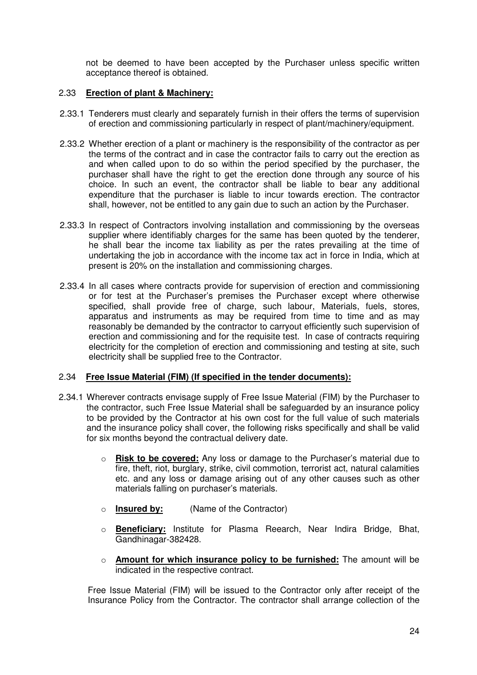not be deemed to have been accepted by the Purchaser unless specific written acceptance thereof is obtained.

#### 2.33 **Erection of plant & Machinery:**

- 2.33.1 Tenderers must clearly and separately furnish in their offers the terms of supervision of erection and commissioning particularly in respect of plant/machinery/equipment.
- 2.33.2 Whether erection of a plant or machinery is the responsibility of the contractor as per the terms of the contract and in case the contractor fails to carry out the erection as and when called upon to do so within the period specified by the purchaser, the purchaser shall have the right to get the erection done through any source of his choice. In such an event, the contractor shall be liable to bear any additional expenditure that the purchaser is liable to incur towards erection. The contractor shall, however, not be entitled to any gain due to such an action by the Purchaser.
- 2.33.3 In respect of Contractors involving installation and commissioning by the overseas supplier where identifiably charges for the same has been quoted by the tenderer, he shall bear the income tax liability as per the rates prevailing at the time of undertaking the job in accordance with the income tax act in force in India, which at present is 20% on the installation and commissioning charges.
- 2.33.4 In all cases where contracts provide for supervision of erection and commissioning or for test at the Purchaser's premises the Purchaser except where otherwise specified, shall provide free of charge, such labour, Materials, fuels, stores, apparatus and instruments as may be required from time to time and as may reasonably be demanded by the contractor to carryout efficiently such supervision of erection and commissioning and for the requisite test. In case of contracts requiring electricity for the completion of erection and commissioning and testing at site, such electricity shall be supplied free to the Contractor.

#### 2.34 **Free Issue Material (FIM) (If specified in the tender documents):**

- 2.34.1 Wherever contracts envisage supply of Free Issue Material (FIM) by the Purchaser to the contractor, such Free Issue Material shall be safeguarded by an insurance policy to be provided by the Contractor at his own cost for the full value of such materials and the insurance policy shall cover, the following risks specifically and shall be valid for six months beyond the contractual delivery date.
	- o **Risk to be covered:** Any loss or damage to the Purchaser's material due to fire, theft, riot, burglary, strike, civil commotion, terrorist act, natural calamities etc. and any loss or damage arising out of any other causes such as other materials falling on purchaser's materials.
	- o **Insured by:** (Name of the Contractor)
	- o **Beneficiary:** Institute for Plasma Reearch, Near Indira Bridge, Bhat, Gandhinagar-382428.
	- o **Amount for which insurance policy to be furnished:** The amount will be indicated in the respective contract.

Free Issue Material (FIM) will be issued to the Contractor only after receipt of the Insurance Policy from the Contractor. The contractor shall arrange collection of the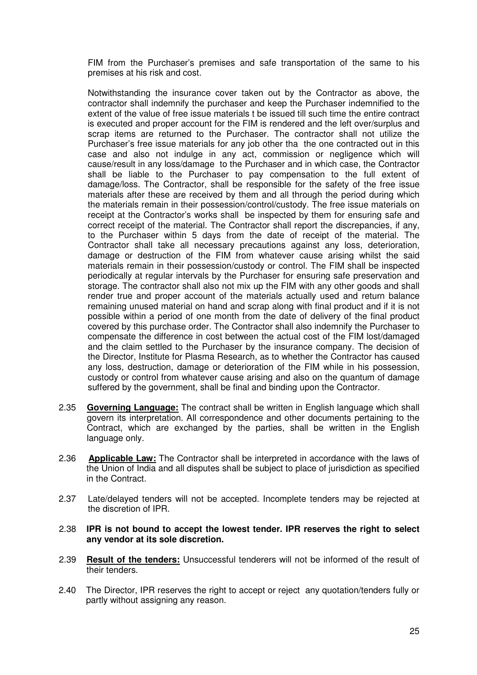FIM from the Purchaser's premises and safe transportation of the same to his premises at his risk and cost.

Notwithstanding the insurance cover taken out by the Contractor as above, the contractor shall indemnify the purchaser and keep the Purchaser indemnified to the extent of the value of free issue materials t be issued till such time the entire contract is executed and proper account for the FIM is rendered and the left over/surplus and scrap items are returned to the Purchaser. The contractor shall not utilize the Purchaser's free issue materials for any job other tha the one contracted out in this case and also not indulge in any act, commission or negligence which will cause/result in any loss/damage to the Purchaser and in which case, the Contractor shall be liable to the Purchaser to pay compensation to the full extent of damage/loss. The Contractor, shall be responsible for the safety of the free issue materials after these are received by them and all through the period during which the materials remain in their possession/control/custody. The free issue materials on receipt at the Contractor's works shall be inspected by them for ensuring safe and correct receipt of the material. The Contractor shall report the discrepancies, if any, to the Purchaser within 5 days from the date of receipt of the material. The Contractor shall take all necessary precautions against any loss, deterioration, damage or destruction of the FIM from whatever cause arising whilst the said materials remain in their possession/custody or control. The FIM shall be inspected periodically at regular intervals by the Purchaser for ensuring safe preservation and storage. The contractor shall also not mix up the FIM with any other goods and shall render true and proper account of the materials actually used and return balance remaining unused material on hand and scrap along with final product and if it is not possible within a period of one month from the date of delivery of the final product covered by this purchase order. The Contractor shall also indemnify the Purchaser to compensate the difference in cost between the actual cost of the FIM lost/damaged and the claim settled to the Purchaser by the insurance company. The decision of the Director, Institute for Plasma Research, as to whether the Contractor has caused any loss, destruction, damage or deterioration of the FIM while in his possession, custody or control from whatever cause arising and also on the quantum of damage suffered by the government, shall be final and binding upon the Contractor.

- 2.35 **Governing Language:** The contract shall be written in English language which shall govern its interpretation. All correspondence and other documents pertaining to the Contract, which are exchanged by the parties, shall be written in the English language only.
- 2.36 **Applicable Law:** The Contractor shall be interpreted in accordance with the laws of the Union of India and all disputes shall be subject to place of jurisdiction as specified in the Contract.
- 2.37 Late/delayed tenders will not be accepted. Incomplete tenders may be rejected at the discretion of IPR.
- 2.38 **IPR is not bound to accept the lowest tender. IPR reserves the right to select any vendor at its sole discretion.**
- 2.39 **Result of the tenders:** Unsuccessful tenderers will not be informed of the result of their tenders.
- 2.40 The Director, IPR reserves the right to accept or reject any quotation/tenders fully or partly without assigning any reason.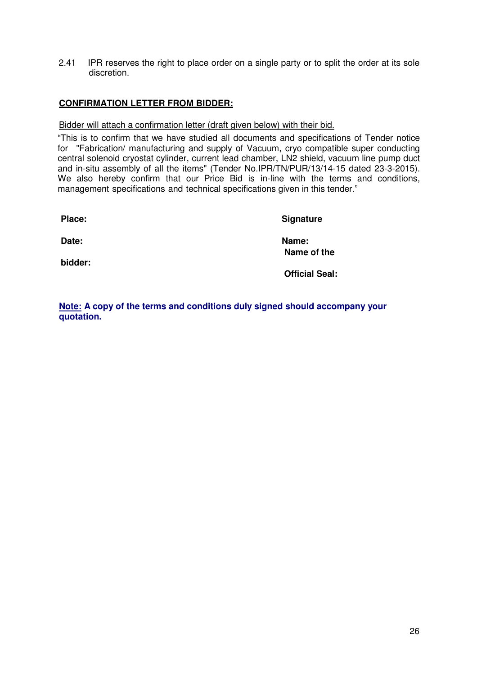2.41 IPR reserves the right to place order on a single party or to split the order at its sole discretion.

#### **CONFIRMATION LETTER FROM BIDDER:**

#### Bidder will attach a confirmation letter (draft given below) with their bid.

"This is to confirm that we have studied all documents and specifications of Tender notice for "Fabrication/ manufacturing and supply of Vacuum, cryo compatible super conducting central solenoid cryostat cylinder, current lead chamber, LN2 shield, vacuum line pump duct and in-situ assembly of all the items" (Tender No.IPR/TN/PUR/13/14-15 dated 23-3-2015). We also hereby confirm that our Price Bid is in-line with the terms and conditions, management specifications and technical specifications given in this tender."

Place: Signature **Date: Name: Name of the bidder: Official Seal:** 

**Note: A copy of the terms and conditions duly signed should accompany your quotation.**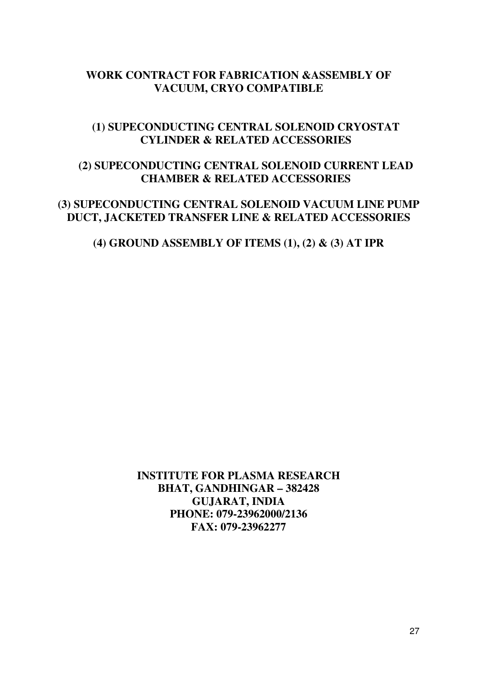## **WORK CONTRACT FOR FABRICATION &ASSEMBLY OF VACUUM, CRYO COMPATIBLE**

## **(1) SUPECONDUCTING CENTRAL SOLENOID CRYOSTAT CYLINDER & RELATED ACCESSORIES**

## **(2) SUPECONDUCTING CENTRAL SOLENOID CURRENT LEAD CHAMBER & RELATED ACCESSORIES**

## **(3) SUPECONDUCTING CENTRAL SOLENOID VACUUM LINE PUMP DUCT, JACKETED TRANSFER LINE & RELATED ACCESSORIES**

## **(4) GROUND ASSEMBLY OF ITEMS (1), (2) & (3) AT IPR**

**INSTITUTE FOR PLASMA RESEARCH BHAT, GANDHINGAR – 382428 GUJARAT, INDIA PHONE: 079-23962000/2136 FAX: 079-23962277**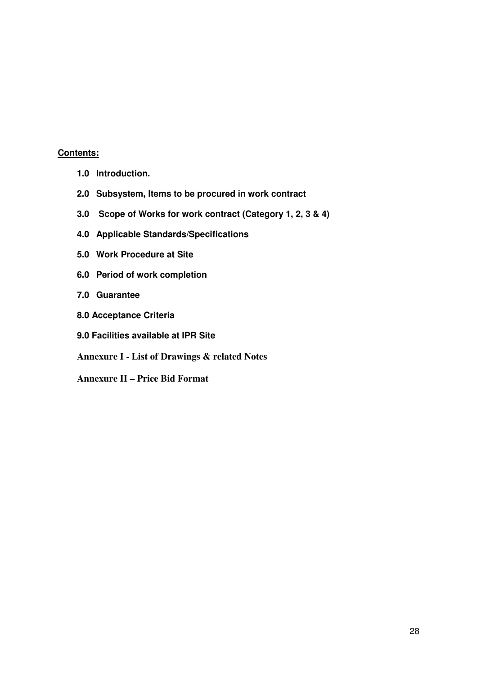#### **Contents:**

- **1.0 Introduction.**
- **2.0 Subsystem, Items to be procured in work contract**
- **3.0 Scope of Works for work contract (Category 1, 2, 3 & 4)**
- **4.0 Applicable Standards/Specifications**
- **5.0 Work Procedure at Site**
- **6.0 Period of work completion**
- **7.0 Guarantee**
- **8.0 Acceptance Criteria**
- **9.0 Facilities available at IPR Site**

**Annexure I - List of Drawings & related Notes** 

**Annexure II – Price Bid Format**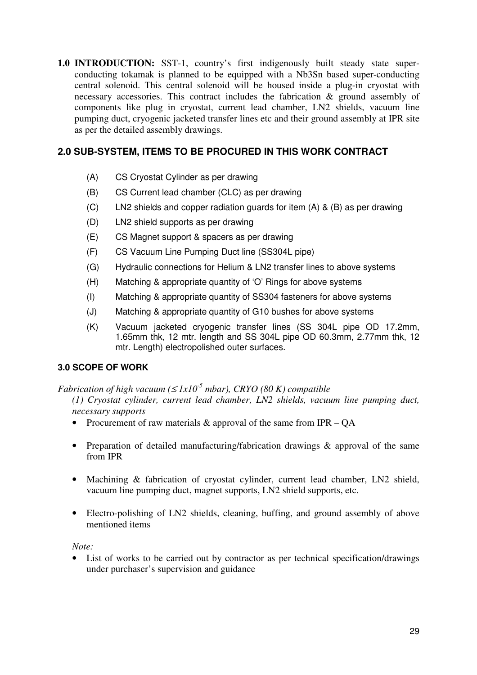**1.0 INTRODUCTION:** SST-1, country's first indigenously built steady state superconducting tokamak is planned to be equipped with a Nb3Sn based super-conducting central solenoid. This central solenoid will be housed inside a plug-in cryostat with necessary accessories. This contract includes the fabrication & ground assembly of components like plug in cryostat, current lead chamber, LN2 shields, vacuum line pumping duct, cryogenic jacketed transfer lines etc and their ground assembly at IPR site as per the detailed assembly drawings.

## **2.0 SUB-SYSTEM, ITEMS TO BE PROCURED IN THIS WORK CONTRACT**

- (A) CS Cryostat Cylinder as per drawing
- (B) CS Current lead chamber (CLC) as per drawing
- (C) LN2 shields and copper radiation guards for item (A) & (B) as per drawing
- (D) LN2 shield supports as per drawing
- (E) CS Magnet support & spacers as per drawing
- (F) CS Vacuum Line Pumping Duct line (SS304L pipe)
- (G) Hydraulic connections for Helium & LN2 transfer lines to above systems
- (H) Matching & appropriate quantity of 'O' Rings for above systems
- (I) Matching & appropriate quantity of SS304 fasteners for above systems
- (J) Matching & appropriate quantity of G10 bushes for above systems
- (K) Vacuum jacketed cryogenic transfer lines (SS 304L pipe OD 17.2mm, 1.65mm thk, 12 mtr. length and SS 304L pipe OD 60.3mm, 2.77mm thk, 12 mtr. Length) electropolished outer surfaces.

### **3.0 SCOPE OF WORK**

*Fabrication of high vacuum* ( $\leq$  *1x10<sup>-5</sup> mbar), CRYO (80 K) compatible* 

*(1) Cryostat cylinder, current lead chamber, LN2 shields, vacuum line pumping duct, necessary supports* 

- Procurement of raw materials  $\&$  approval of the same from IPR QA
- Preparation of detailed manufacturing/fabrication drawings & approval of the same from IPR
- Machining & fabrication of cryostat cylinder, current lead chamber, LN2 shield, vacuum line pumping duct, magnet supports, LN2 shield supports, etc.
- Electro-polishing of LN2 shields, cleaning, buffing, and ground assembly of above mentioned items

*Note:* 

List of works to be carried out by contractor as per technical specification/drawings under purchaser's supervision and guidance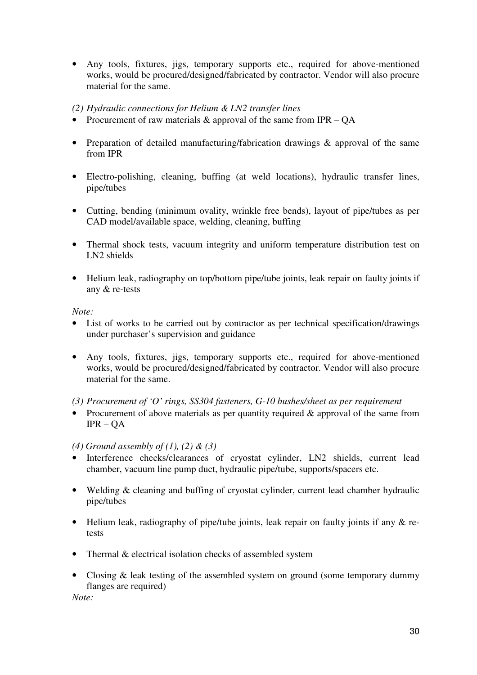• Any tools, fixtures, jigs, temporary supports etc., required for above-mentioned works, would be procured/designed/fabricated by contractor. Vendor will also procure material for the same.

#### *(2) Hydraulic connections for Helium & LN2 transfer lines*

- Procurement of raw materials & approval of the same from IPR OA
- Preparation of detailed manufacturing/fabrication drawings & approval of the same from IPR
- Electro-polishing, cleaning, buffing (at weld locations), hydraulic transfer lines, pipe/tubes
- Cutting, bending (minimum ovality, wrinkle free bends), layout of pipe/tubes as per CAD model/available space, welding, cleaning, buffing
- Thermal shock tests, vacuum integrity and uniform temperature distribution test on LN2 shields
- Helium leak, radiography on top/bottom pipe/tube joints, leak repair on faulty joints if any & re-tests

*Note:* 

- List of works to be carried out by contractor as per technical specification/drawings under purchaser's supervision and guidance
- Any tools, fixtures, jigs, temporary supports etc., required for above-mentioned works, would be procured/designed/fabricated by contractor. Vendor will also procure material for the same.

*(3) Procurement of 'O' rings, SS304 fasteners, G-10 bushes/sheet as per requirement* 

• Procurement of above materials as per quantity required & approval of the same from IPR – QA

*(4) Ground assembly of (1), (2) & (3)*

- Interference checks/clearances of cryostat cylinder, LN2 shields, current lead chamber, vacuum line pump duct, hydraulic pipe/tube, supports/spacers etc.
- Welding & cleaning and buffing of cryostat cylinder, current lead chamber hydraulic pipe/tubes
- Helium leak, radiography of pipe/tube joints, leak repair on faulty joints if any  $\&$  retests
- Thermal & electrical isolation checks of assembled system
- Closing & leak testing of the assembled system on ground (some temporary dummy flanges are required)

*Note:*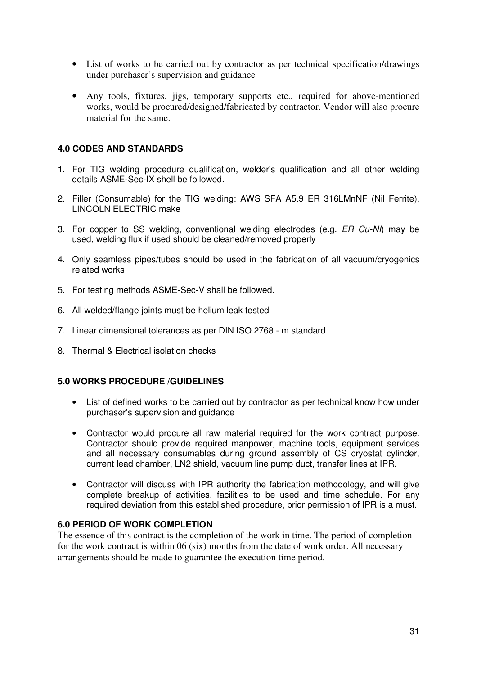- List of works to be carried out by contractor as per technical specification/drawings under purchaser's supervision and guidance
- Any tools, fixtures, jigs, temporary supports etc., required for above-mentioned works, would be procured/designed/fabricated by contractor. Vendor will also procure material for the same.

#### **4.0 CODES AND STANDARDS**

- 1. For TIG welding procedure qualification, welder's qualification and all other welding details ASME-Sec-IX shell be followed.
- 2. Filler (Consumable) for the TIG welding: AWS SFA A5.9 ER 316LMnNF (Nil Ferrite), LINCOLN ELECTRIC make
- 3. For copper to SS welding, conventional welding electrodes (e.g. ER Cu-NI) may be used, welding flux if used should be cleaned/removed properly
- 4. Only seamless pipes/tubes should be used in the fabrication of all vacuum/cryogenics related works
- 5. For testing methods ASME-Sec-V shall be followed.
- 6. All welded/flange joints must be helium leak tested
- 7. Linear dimensional tolerances as per DIN ISO 2768 m standard
- 8. Thermal & Electrical isolation checks

#### **5.0 WORKS PROCEDURE /GUIDELINES**

- List of defined works to be carried out by contractor as per technical know how under purchaser's supervision and guidance
- Contractor would procure all raw material required for the work contract purpose. Contractor should provide required manpower, machine tools, equipment services and all necessary consumables during ground assembly of CS cryostat cylinder, current lead chamber, LN2 shield, vacuum line pump duct, transfer lines at IPR.
- Contractor will discuss with IPR authority the fabrication methodology, and will give complete breakup of activities, facilities to be used and time schedule. For any required deviation from this established procedure, prior permission of IPR is a must.

#### **6.0 PERIOD OF WORK COMPLETION**

The essence of this contract is the completion of the work in time. The period of completion for the work contract is within 06 (six) months from the date of work order. All necessary arrangements should be made to guarantee the execution time period.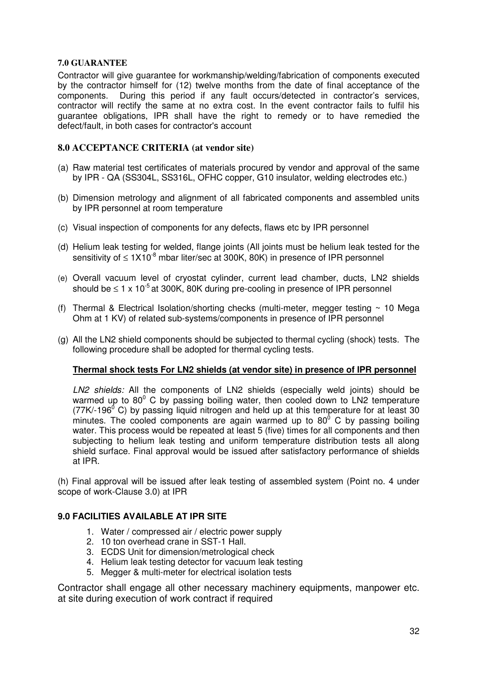#### **7.0 GUARANTEE**

Contractor will give guarantee for workmanship/welding/fabrication of components executed by the contractor himself for (12) twelve months from the date of final acceptance of the components. During this period if any fault occurs/detected in contractor's services, contractor will rectify the same at no extra cost. In the event contractor fails to fulfil his guarantee obligations, IPR shall have the right to remedy or to have remedied the defect/fault, in both cases for contractor's account

#### **8.0 ACCEPTANCE CRITERIA (at vendor site)**

- (a) Raw material test certificates of materials procured by vendor and approval of the same by IPR - QA (SS304L, SS316L, OFHC copper, G10 insulator, welding electrodes etc.)
- (b) Dimension metrology and alignment of all fabricated components and assembled units by IPR personnel at room temperature
- (c) Visual inspection of components for any defects, flaws etc by IPR personnel
- (d) Helium leak testing for welded, flange joints (All joints must be helium leak tested for the sensitivity of  $\leq 1 \times 10^{-8}$  mbar liter/sec at 300K, 80K) in presence of IPR personnel
- (e) Overall vacuum level of cryostat cylinder, current lead chamber, ducts, LN2 shields should be  $\leq 1 \times 10^{-5}$  at 300K. 80K during pre-cooling in presence of IPR personnel
- (f) Thermal & Electrical Isolation/shorting checks (multi-meter, megger testing  $\sim$  10 Mega Ohm at 1 KV) of related sub-systems/components in presence of IPR personnel
- (g) All the LN2 shield components should be subjected to thermal cycling (shock) tests. The following procedure shall be adopted for thermal cycling tests.

#### **Thermal shock tests For LN2 shields (at vendor site) in presence of IPR personnel**

LN2 shields: All the components of LN2 shields (especially weld joints) should be warmed up to  $80^{\circ}$  C by passing boiling water, then cooled down to LN2 temperature  $(77K/196<sup>0</sup>$  C) by passing liquid nitrogen and held up at this temperature for at least 30 minutes. The cooled components are again warmed up to 80 $^{\circ}$  C by passing boiling water. This process would be repeated at least 5 (five) times for all components and then subjecting to helium leak testing and uniform temperature distribution tests all along shield surface. Final approval would be issued after satisfactory performance of shields at IPR.

(h) Final approval will be issued after leak testing of assembled system (Point no. 4 under scope of work-Clause 3.0) at IPR

#### **9.0 FACILITIES AVAILABLE AT IPR SITE**

- 1. Water / compressed air / electric power supply
- 2. 10 ton overhead crane in SST-1 Hall.
- 3. ECDS Unit for dimension/metrological check
- 4. Helium leak testing detector for vacuum leak testing
- 5. Megger & multi-meter for electrical isolation tests

Contractor shall engage all other necessary machinery equipments, manpower etc. at site during execution of work contract if required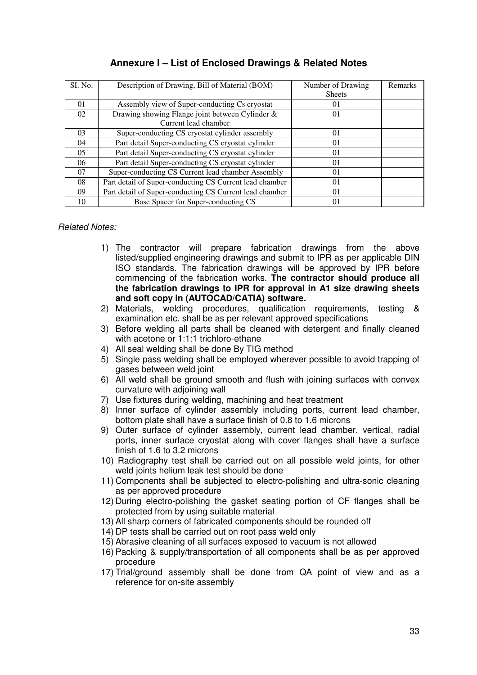| SI. No. | Description of Drawing, Bill of Material (BOM)          | Number of Drawing | <b>Remarks</b> |
|---------|---------------------------------------------------------|-------------------|----------------|
|         |                                                         | <b>Sheets</b>     |                |
| 01      | Assembly view of Super-conducting Cs cryostat           | 01                |                |
| 02      | Drawing showing Flange joint between Cylinder &         | 01                |                |
|         | Current lead chamber                                    |                   |                |
| 03      | Super-conducting CS cryostat cylinder assembly          | 01                |                |
| 04      | Part detail Super-conducting CS cryostat cylinder       | 01                |                |
| 05      | Part detail Super-conducting CS cryostat cylinder       | 01                |                |
| 06      | Part detail Super-conducting CS cryostat cylinder       | 01                |                |
| 07      | Super-conducting CS Current lead chamber Assembly       | 01                |                |
| 08      | Part detail of Super-conducting CS Current lead chamber | 01                |                |
| 09      | Part detail of Super-conducting CS Current lead chamber | 01                |                |
| 10      | Base Spacer for Super-conducting CS                     | 01                |                |

### **Annexure I – List of Enclosed Drawings & Related Notes**

#### Related Notes:

- 1) The contractor will prepare fabrication drawings from the above listed/supplied engineering drawings and submit to IPR as per applicable DIN ISO standards. The fabrication drawings will be approved by IPR before commencing of the fabrication works. **The contractor should produce all the fabrication drawings to IPR for approval in A1 size drawing sheets and soft copy in (AUTOCAD/CATIA) software.**
- 2) Materials, welding procedures, qualification requirements, testing & examination etc. shall be as per relevant approved specifications
- 3) Before welding all parts shall be cleaned with detergent and finally cleaned with acetone or 1:1:1 trichloro-ethane
- 4) All seal welding shall be done By TIG method
- 5) Single pass welding shall be employed wherever possible to avoid trapping of gases between weld joint
- 6) All weld shall be ground smooth and flush with joining surfaces with convex curvature with adjoining wall
- 7) Use fixtures during welding, machining and heat treatment
- 8) Inner surface of cylinder assembly including ports, current lead chamber, bottom plate shall have a surface finish of 0.8 to 1.6 microns
- 9) Outer surface of cylinder assembly, current lead chamber, vertical, radial ports, inner surface cryostat along with cover flanges shall have a surface finish of 1.6 to 3.2 microns
- 10) Radiography test shall be carried out on all possible weld joints, for other weld joints helium leak test should be done
- 11) Components shall be subjected to electro-polishing and ultra-sonic cleaning as per approved procedure
- 12) During electro-polishing the gasket seating portion of CF flanges shall be protected from by using suitable material
- 13) All sharp corners of fabricated components should be rounded off
- 14) DP tests shall be carried out on root pass weld only
- 15) Abrasive cleaning of all surfaces exposed to vacuum is not allowed
- 16) Packing & supply/transportation of all components shall be as per approved procedure
- 17) Trial/ground assembly shall be done from QA point of view and as a reference for on-site assembly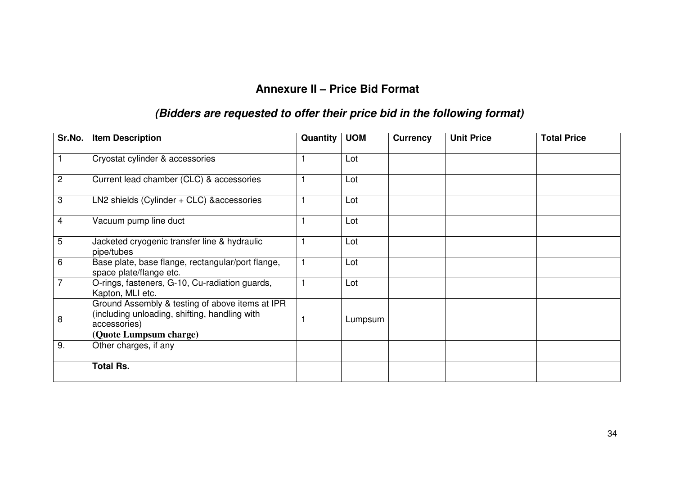## **Annexure II – Price Bid Format**

## **(Bidders are requested to offer their price bid in the following format)**

| Sr.No.         | <b>Item Description</b>                                                                                                                    | Quantity | <b>UOM</b> | <b>Currency</b> | <b>Unit Price</b> | <b>Total Price</b> |
|----------------|--------------------------------------------------------------------------------------------------------------------------------------------|----------|------------|-----------------|-------------------|--------------------|
|                | Cryostat cylinder & accessories                                                                                                            |          | Lot        |                 |                   |                    |
| $\overline{c}$ | Current lead chamber (CLC) & accessories                                                                                                   |          | Lot        |                 |                   |                    |
| 3              | LN2 shields (Cylinder + CLC) & accessories                                                                                                 |          | Lot        |                 |                   |                    |
| 4              | Vacuum pump line duct                                                                                                                      |          | Lot        |                 |                   |                    |
| 5              | Jacketed cryogenic transfer line & hydraulic<br>pipe/tubes                                                                                 |          | Lot        |                 |                   |                    |
| 6              | Base plate, base flange, rectangular/port flange,<br>space plate/flange etc.                                                               |          | Lot        |                 |                   |                    |
| $\overline{7}$ | O-rings, fasteners, G-10, Cu-radiation guards,<br>Kapton, MLI etc.                                                                         |          | Lot        |                 |                   |                    |
| 8              | Ground Assembly & testing of above items at IPR<br>(including unloading, shifting, handling with<br>accessories)<br>(Quote Lumpsum charge) |          | Lumpsum    |                 |                   |                    |
| 9.             | Other charges, if any                                                                                                                      |          |            |                 |                   |                    |
|                | <b>Total Rs.</b>                                                                                                                           |          |            |                 |                   |                    |